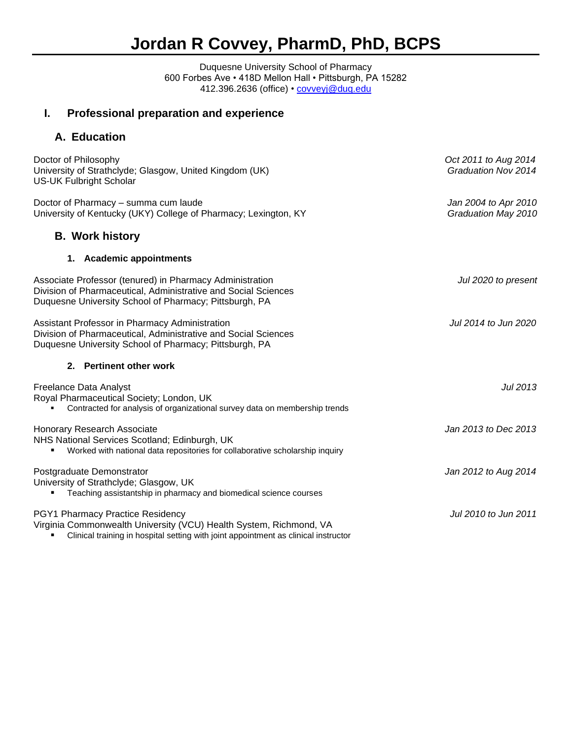# **Jordan R Covvey, PharmD, PhD, BCPS**

Duquesne University School of Pharmacy 600 Forbes Ave • 418D Mellon Hall • Pittsburgh, PA 15282 412.396.2636 (office) • <u>covveyj@duq.edu</u>

# **I. Professional preparation and experience**

### **A. Education**

| Doctor of Philosophy<br>University of Strathclyde; Glasgow, United Kingdom (UK)<br><b>US-UK Fulbright Scholar</b>                                                                             | Oct 2011 to Aug 2014<br>Graduation Nov 2014 |
|-----------------------------------------------------------------------------------------------------------------------------------------------------------------------------------------------|---------------------------------------------|
| Doctor of Pharmacy - summa cum laude<br>University of Kentucky (UKY) College of Pharmacy; Lexington, KY                                                                                       | Jan 2004 to Apr 2010<br>Graduation May 2010 |
| <b>B. Work history</b>                                                                                                                                                                        |                                             |
| 1. Academic appointments                                                                                                                                                                      |                                             |
| Associate Professor (tenured) in Pharmacy Administration<br>Division of Pharmaceutical, Administrative and Social Sciences<br>Duquesne University School of Pharmacy; Pittsburgh, PA          | Jul 2020 to present                         |
| Assistant Professor in Pharmacy Administration<br>Division of Pharmaceutical, Administrative and Social Sciences<br>Duquesne University School of Pharmacy; Pittsburgh, PA                    | Jul 2014 to Jun 2020                        |
| 2. Pertinent other work                                                                                                                                                                       |                                             |
| <b>Freelance Data Analyst</b><br>Royal Pharmaceutical Society; London, UK<br>Contracted for analysis of organizational survey data on membership trends                                       | <b>Jul 2013</b>                             |
| <b>Honorary Research Associate</b><br>NHS National Services Scotland; Edinburgh, UK<br>Worked with national data repositories for collaborative scholarship inquiry                           | Jan 2013 to Dec 2013                        |
| Postgraduate Demonstrator<br>University of Strathclyde; Glasgow, UK<br>Teaching assistantship in pharmacy and biomedical science courses                                                      | Jan 2012 to Aug 2014                        |
| PGY1 Pharmacy Practice Residency<br>Virginia Commonwealth University (VCU) Health System, Richmond, VA<br>Clinical training in hospital setting with joint appointment as clinical instructor | Jul 2010 to Jun 2011                        |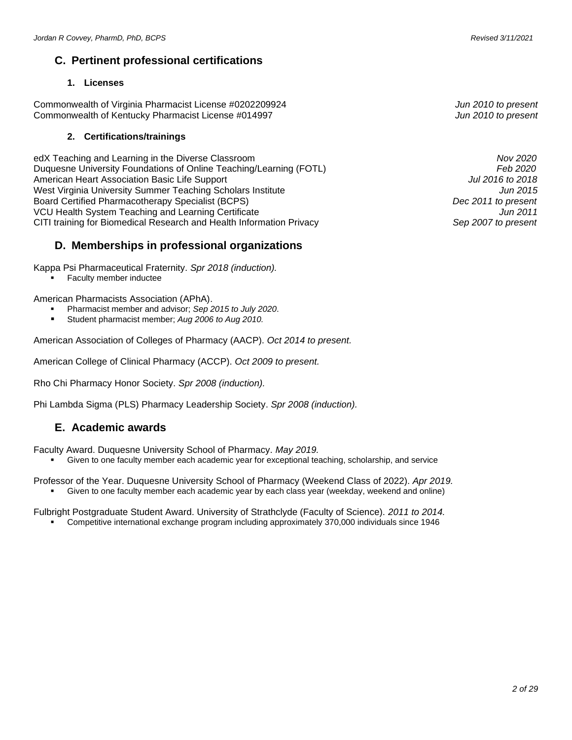### **C. Pertinent professional certifications**

#### **1. Licenses**

Commonwealth of Virginia Pharmacist License #0202209924 *Jun 2010 to present* Commonwealth of Kentucky Pharmacist License #014997 *Jun 2010 to present*

#### **2. Certifications/trainings**

edX Teaching and Learning in the Diverse Classroom *Nov 2020* Duquesne University Foundations of Online Teaching/Learning (FOTL) *Feb 2020* **American Heart Association Basic Life Support** West Virginia University Summer Teaching Scholars Institute *Jun 2015* Board Certified Pharmacotherapy Specialist (BCPS) *Dec 2011 to present* VCU Health System Teaching and Learning Certificate*Jun 2011* CITI training for Biomedical Research and Health Information Privacy *Sep 2007 to present*

### **D. Memberships in professional organizations**

Kappa Psi Pharmaceutical Fraternity. *Spr 2018 (induction).*

**Faculty member inductee** 

American Pharmacists Association (APhA).

- Pharmacist member and advisor; *Sep 2015 to July 2020*.
- Student pharmacist member; Aug 2006 to Aug 2010.

American Association of Colleges of Pharmacy (AACP). *Oct 2014 to present.*

American College of Clinical Pharmacy (ACCP). *Oct 2009 to present.*

Rho Chi Pharmacy Honor Society. *Spr 2008 (induction).*

Phi Lambda Sigma (PLS) Pharmacy Leadership Society. *Spr 2008 (induction).*

### **E. Academic awards**

Faculty Award. Duquesne University School of Pharmacy. *May 2019.*

- Given to one faculty member each academic year for exceptional teaching, scholarship, and service
- Professor of the Year. Duquesne University School of Pharmacy (Weekend Class of 2022). *Apr 2019.* Given to one faculty member each academic year by each class year (weekday, weekend and online)

Fulbright Postgraduate Student Award. University of Strathclyde (Faculty of Science). *2011 to 2014.*

▪ Competitive international exchange program including approximately 370,000 individuals since 1946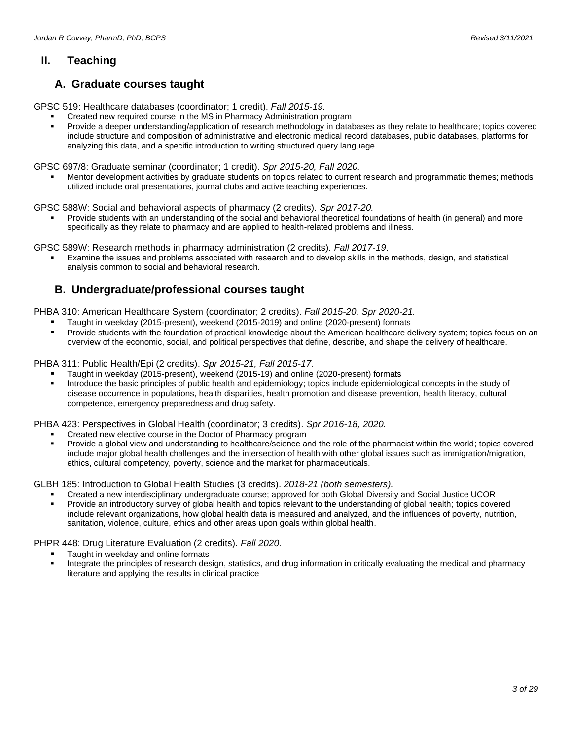### **II. Teaching**

### **A. Graduate courses taught**

GPSC 519: Healthcare databases (coordinator; 1 credit). *Fall 2015-19.*

- Created new required course in the MS in Pharmacy Administration program
	- Provide a deeper understanding/application of research methodology in databases as they relate to healthcare; topics covered include structure and composition of administrative and electronic medical record databases, public databases, platforms for analyzing this data, and a specific introduction to writing structured query language.

GPSC 697/8: Graduate seminar (coordinator; 1 credit). *Spr 2015-20, Fall 2020.*

Mentor development activities by graduate students on topics related to current research and programmatic themes; methods utilized include oral presentations, journal clubs and active teaching experiences.

GPSC 588W: Social and behavioral aspects of pharmacy (2 credits). *Spr 2017-20.*

Provide students with an understanding of the social and behavioral theoretical foundations of health (in general) and more specifically as they relate to pharmacy and are applied to health-related problems and illness.

GPSC 589W: Research methods in pharmacy administration (2 credits). *Fall 2017-19*.

Examine the issues and problems associated with research and to develop skills in the methods, design, and statistical analysis common to social and behavioral research.

### **B. Undergraduate/professional courses taught**

PHBA 310: American Healthcare System (coordinator; 2 credits). *Fall 2015-20, Spr 2020-21.*

- Taught in weekday (2015-present), weekend (2015-2019) and online (2020-present) formats
- Provide students with the foundation of practical knowledge about the American healthcare delivery system; topics focus on an overview of the economic, social, and political perspectives that define, describe, and shape the delivery of healthcare.

PHBA 311: Public Health/Epi (2 credits). *Spr 2015-21, Fall 2015-17.*

- Taught in weekday (2015-present), weekend (2015-19) and online (2020-present) formats
- Introduce the basic principles of public health and epidemiology; topics include epidemiological concepts in the study of disease occurrence in populations, health disparities, health promotion and disease prevention, health literacy, cultural competence, emergency preparedness and drug safety.

PHBA 423: Perspectives in Global Health (coordinator; 3 credits). *Spr 2016-18, 2020.*

- Created new elective course in the Doctor of Pharmacy program
- Provide a global view and understanding to healthcare/science and the role of the pharmacist within the world; topics covered include major global health challenges and the intersection of health with other global issues such as immigration/migration, ethics, cultural competency, poverty, science and the market for pharmaceuticals.

GLBH 185: Introduction to Global Health Studies (3 credits). *2018-21 (both semesters).*

- Created a new interdisciplinary undergraduate course; approved for both Global Diversity and Social Justice UCOR
- Provide an introductory survey of global health and topics relevant to the understanding of global health; topics covered include relevant organizations, how global health data is measured and analyzed, and the influences of poverty, nutrition, sanitation, violence, culture, ethics and other areas upon goals within global health.

PHPR 448: Drug Literature Evaluation (2 credits). *Fall 2020.*

- Taught in weekday and online formats
- Integrate the principles of research design, statistics, and drug information in critically evaluating the medical and pharmacy literature and applying the results in clinical practice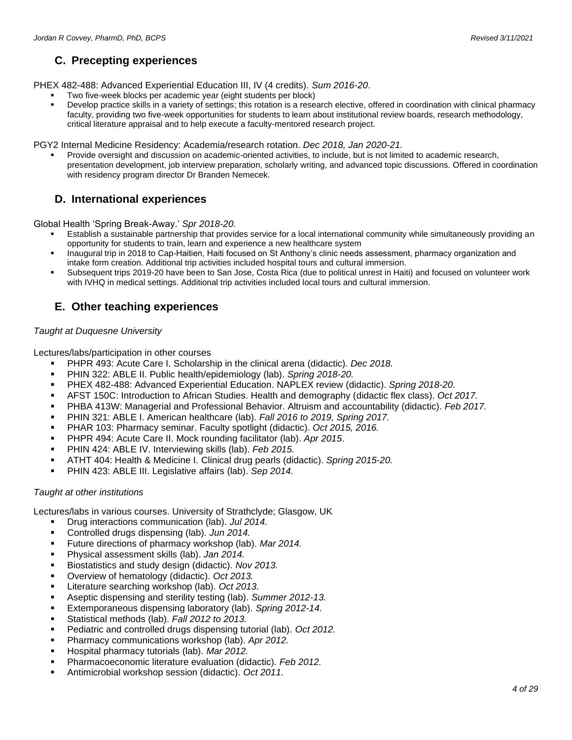## **C. Precepting experiences**

PHEX 482-488: Advanced Experiential Education III, IV (4 credits). *Sum 2016-20*.

- Two five-week blocks per academic year (eight students per block)
- Develop practice skills in a variety of settings; this rotation is a research elective, offered in coordination with clinical pharmacy faculty, providing two five-week opportunities for students to learn about institutional review boards, research methodology, critical literature appraisal and to help execute a faculty-mentored research project.

PGY2 Internal Medicine Residency: Academia/research rotation. *Dec 2018, Jan 2020-21.*

Provide oversight and discussion on academic-oriented activities, to include, but is not limited to academic research, presentation development, job interview preparation, scholarly writing, and advanced topic discussions. Offered in coordination with residency program director Dr Branden Nemecek.

### **D. International experiences**

Global Health 'Spring Break-Away.' *Spr 2018-20.*

- Establish a sustainable partnership that provides service for a local international community while simultaneously providing an opportunity for students to train, learn and experience a new healthcare system
- Inaugural trip in 2018 to Cap-Haitien, Haiti focused on St Anthony's clinic needs assessment, pharmacy organization and intake form creation. Additional trip activities included hospital tours and cultural immersion.
- Subsequent trips 2019-20 have been to San Jose, Costa Rica (due to political unrest in Haiti) and focused on volunteer work with IVHQ in medical settings. Additional trip activities included local tours and cultural immersion.

### **E. Other teaching experiences**

#### *Taught at Duquesne University*

Lectures/labs/participation in other courses

- PHPR 493: Acute Care I. Scholarship in the clinical arena (didactic). *Dec 2018.*
- PHIN 322: ABLE II. Public health/epidemiology (lab). *Spring 2018-20.*
- PHEX 482-488: Advanced Experiential Education. NAPLEX review (didactic). *Spring 2018-20*.
- AFST 150C: Introduction to African Studies. Health and demography (didactic flex class). *Oct 2017.*
- PHBA 413W: Managerial and Professional Behavior. Altruism and accountability (didactic). *Feb 2017.*
- PHIN 321: ABLE I. American healthcare (lab). *Fall 2016 to 2019, Spring 2017.*
- PHAR 103: Pharmacy seminar. Faculty spotlight (didactic). *Oct 2015, 2016.*
- PHPR 494: Acute Care II. Mock rounding facilitator (lab). *Apr 2015*.
- PHIN 424: ABLE IV. Interviewing skills (lab). Feb 2015.
- ATHT 404: Health & Medicine I. Clinical drug pearls (didactic). *Spring 2015-20.*
- PHIN 423: ABLE III. Legislative affairs (lab). *Sep 2014.*

#### *Taught at other institutions*

Lectures/labs in various courses. University of Strathclyde; Glasgow, UK

- Drug interactions communication (lab). *Jul 2014.*
- Controlled drugs dispensing (lab). *Jun 2014*.
- Future directions of pharmacy workshop (lab). *Mar 2014.*
- Physical assessment skills (lab). *Jan 2014.*
- Biostatistics and study design (didactic). *Nov 2013.*
- Overview of hematology (didactic). *Oct 2013.*
- Literature searching workshop (lab). *Oct 2013*.
- Aseptic dispensing and sterility testing (lab). *Summer 2012-13.*
- Extemporaneous dispensing laboratory (lab). *Spring 2012-14.*
- Statistical methods (lab). *Fall 2012 to 2013.*
- Pediatric and controlled drugs dispensing tutorial (lab). *Oct 2012.*
- Pharmacy communications workshop (lab). *Apr 2012.*
- Hospital pharmacy tutorials (lab). *Mar 2012.*
- Pharmacoeconomic literature evaluation (didactic). *Feb 2012.*
- Antimicrobial workshop session (didactic). *Oct 2011.*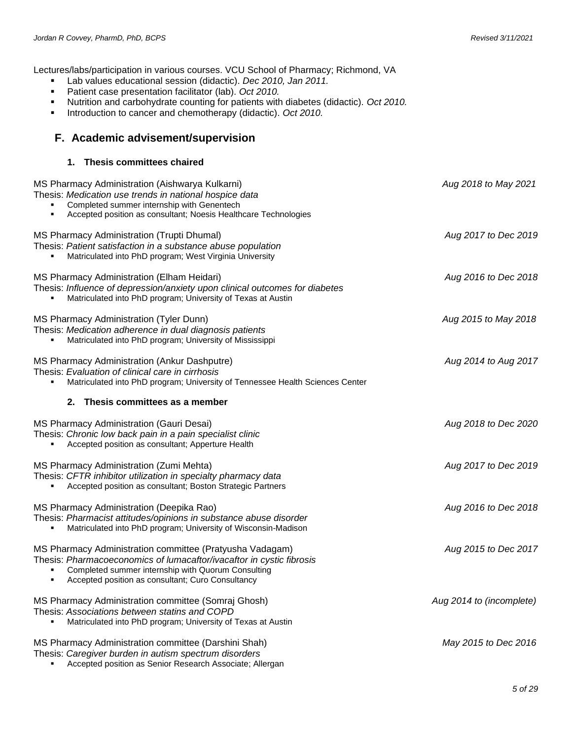Lectures/labs/participation in various courses. VCU School of Pharmacy; Richmond, VA

- Lab values educational session (didactic). *Dec 2010, Jan 2011.*
- Patient case presentation facilitator (lab). *Oct 2010.*
- Nutrition and carbohydrate counting for patients with diabetes (didactic). *Oct 2010.*
- Introduction to cancer and chemotherapy (didactic). *Oct 2010.*

### **F. Academic advisement/supervision**

#### **1. Thesis committees chaired**

| MS Pharmacy Administration (Aishwarya Kulkarni)<br>Thesis: Medication use trends in national hospice data<br>Completed summer internship with Genentech<br>Accepted position as consultant; Noesis Healthcare Technologies                  | Aug 2018 to May 2021     |
|---------------------------------------------------------------------------------------------------------------------------------------------------------------------------------------------------------------------------------------------|--------------------------|
| <b>MS Pharmacy Administration (Trupti Dhumal)</b><br>Thesis: Patient satisfaction in a substance abuse population<br>Matriculated into PhD program; West Virginia University                                                                | Aug 2017 to Dec 2019     |
| MS Pharmacy Administration (Elham Heidari)<br>Thesis: Influence of depression/anxiety upon clinical outcomes for diabetes<br>Matriculated into PhD program; University of Texas at Austin                                                   | Aug 2016 to Dec 2018     |
| MS Pharmacy Administration (Tyler Dunn)<br>Thesis: Medication adherence in dual diagnosis patients<br>Matriculated into PhD program; University of Mississippi                                                                              | Aug 2015 to May 2018     |
| MS Pharmacy Administration (Ankur Dashputre)<br>Thesis: Evaluation of clinical care in cirrhosis<br>Matriculated into PhD program; University of Tennessee Health Sciences Center                                                           | Aug 2014 to Aug 2017     |
| Thesis committees as a member<br>2.                                                                                                                                                                                                         |                          |
| MS Pharmacy Administration (Gauri Desai)<br>Thesis: Chronic low back pain in a pain specialist clinic<br>Accepted position as consultant; Apperture Health                                                                                  | Aug 2018 to Dec 2020     |
| MS Pharmacy Administration (Zumi Mehta)<br>Thesis: CFTR inhibitor utilization in specialty pharmacy data<br>Accepted position as consultant; Boston Strategic Partners                                                                      | Aug 2017 to Dec 2019     |
| MS Pharmacy Administration (Deepika Rao)<br>Thesis: Pharmacist attitudes/opinions in substance abuse disorder<br>Matriculated into PhD program; University of Wisconsin-Madison                                                             | Aug 2016 to Dec 2018     |
| MS Pharmacy Administration committee (Pratyusha Vadagam)<br>Thesis: Pharmacoeconomics of lumacaftor/ivacaftor in cystic fibrosis<br>Completed summer internship with Quorum Consulting<br>Accepted position as consultant; Curo Consultancy | Aug 2015 to Dec 2017     |
| MS Pharmacy Administration committee (Somraj Ghosh)<br>Thesis: Associations between statins and COPD<br>Matriculated into PhD program; University of Texas at Austin                                                                        | Aug 2014 to (incomplete) |
| MS Pharmacy Administration committee (Darshini Shah)<br>Thesis: Caregiver burden in autism spectrum disorders                                                                                                                               | May 2015 to Dec 2016     |

Accepted position as Senior Research Associate; Allergan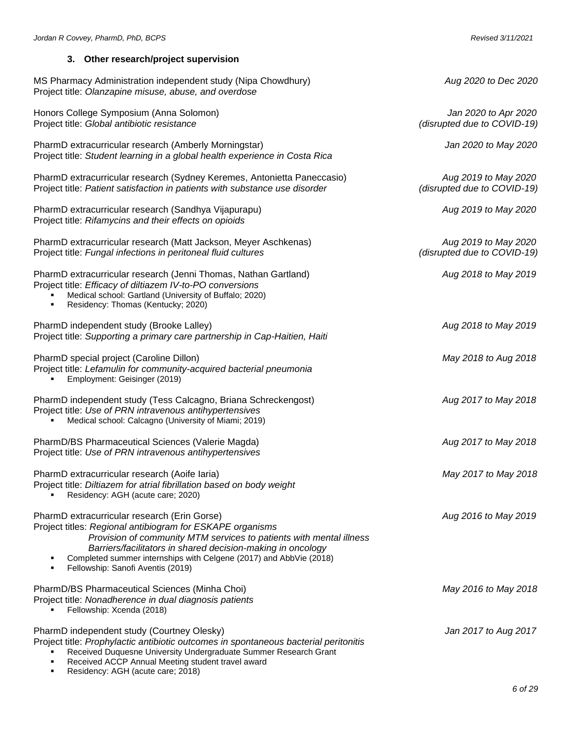### **3. Other research/project supervision**

| MS Pharmacy Administration independent study (Nipa Chowdhury)<br>Project title: Olanzapine misuse, abuse, and overdose                                                                                                                                                                                                                                     | Aug 2020 to Dec 2020                                |
|------------------------------------------------------------------------------------------------------------------------------------------------------------------------------------------------------------------------------------------------------------------------------------------------------------------------------------------------------------|-----------------------------------------------------|
| Honors College Symposium (Anna Solomon)<br>Project title: Global antibiotic resistance                                                                                                                                                                                                                                                                     | Jan 2020 to Apr 2020<br>(disrupted due to COVID-19) |
| PharmD extracurricular research (Amberly Morningstar)<br>Project title: Student learning in a global health experience in Costa Rica                                                                                                                                                                                                                       | Jan 2020 to May 2020                                |
| PharmD extracurricular research (Sydney Keremes, Antonietta Paneccasio)<br>Project title: Patient satisfaction in patients with substance use disorder                                                                                                                                                                                                     | Aug 2019 to May 2020<br>(disrupted due to COVID-19) |
| PharmD extracurricular research (Sandhya Vijapurapu)<br>Project title: Rifamycins and their effects on opioids                                                                                                                                                                                                                                             | Aug 2019 to May 2020                                |
| PharmD extracurricular research (Matt Jackson, Meyer Aschkenas)<br>Project title: Fungal infections in peritoneal fluid cultures                                                                                                                                                                                                                           | Aug 2019 to May 2020<br>(disrupted due to COVID-19) |
| PharmD extracurricular research (Jenni Thomas, Nathan Gartland)<br>Project title: Efficacy of diltiazem IV-to-PO conversions<br>Medical school: Gartland (University of Buffalo; 2020)<br>Residency: Thomas (Kentucky; 2020)                                                                                                                               | Aug 2018 to May 2019                                |
| PharmD independent study (Brooke Lalley)<br>Project title: Supporting a primary care partnership in Cap-Haitien, Haiti                                                                                                                                                                                                                                     | Aug 2018 to May 2019                                |
| PharmD special project (Caroline Dillon)<br>Project title: Lefamulin for community-acquired bacterial pneumonia<br>Employment: Geisinger (2019)                                                                                                                                                                                                            | May 2018 to Aug 2018                                |
| PharmD independent study (Tess Calcagno, Briana Schreckengost)<br>Project title: Use of PRN intravenous antihypertensives<br>Medical school: Calcagno (University of Miami; 2019)                                                                                                                                                                          | Aug 2017 to May 2018                                |
| PharmD/BS Pharmaceutical Sciences (Valerie Magda)<br>Project title: Use of PRN intravenous antihypertensives                                                                                                                                                                                                                                               | Aug 2017 to May 2018                                |
| PharmD extracurricular research (Aoife Iaria)<br>Project title: Diltiazem for atrial fibrillation based on body weight<br>Residency: AGH (acute care; 2020)                                                                                                                                                                                                | May 2017 to May 2018                                |
| PharmD extracurricular research (Erin Gorse)<br>Project titles: Regional antibiogram for ESKAPE organisms<br>Provision of community MTM services to patients with mental illness<br>Barriers/facilitators in shared decision-making in oncology<br>Completed summer internships with Celgene (2017) and AbbVie (2018)<br>Fellowship: Sanofi Aventis (2019) | Aug 2016 to May 2019                                |
| PharmD/BS Pharmaceutical Sciences (Minha Choi)<br>Project title: Nonadherence in dual diagnosis patients<br>Fellowship: Xcenda (2018)                                                                                                                                                                                                                      | May 2016 to May 2018                                |
| PharmD independent study (Courtney Olesky)<br>Project title: Prophylactic antibiotic outcomes in spontaneous bacterial peritonitis<br>Received Duquesne University Undergraduate Summer Research Grant<br>Received ACCP Annual Meeting student travel award                                                                                                | Jan 2017 to Aug 2017                                |

■ Residency: AGH (acute care; 2018)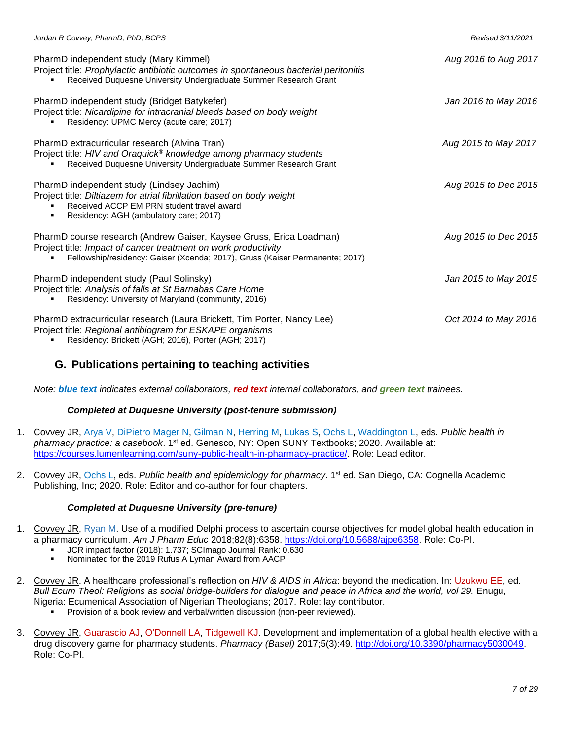| Jordan R Covvey, PharmD, PhD, BCPS                                                                                                                                                                                    | Revised 3/11/2021    |
|-----------------------------------------------------------------------------------------------------------------------------------------------------------------------------------------------------------------------|----------------------|
| PharmD independent study (Mary Kimmel)<br>Project title: Prophylactic antibiotic outcomes in spontaneous bacterial peritonitis<br>Received Duquesne University Undergraduate Summer Research Grant                    | Aug 2016 to Aug 2017 |
| PharmD independent study (Bridget Batykefer)<br>Project title: Nicardipine for intracranial bleeds based on body weight<br>Residency: UPMC Mercy (acute care; 2017)                                                   | Jan 2016 to May 2016 |
| PharmD extracurricular research (Alvina Tran)<br>Project title: HIV and Oraquick® knowledge among pharmacy students<br>Received Duquesne University Undergraduate Summer Research Grant                               | Aug 2015 to May 2017 |
| PharmD independent study (Lindsey Jachim)<br>Project title: Diltiazem for atrial fibrillation based on body weight<br>Received ACCP EM PRN student travel award<br>Residency: AGH (ambulatory care; 2017)             | Aug 2015 to Dec 2015 |
| PharmD course research (Andrew Gaiser, Kaysee Gruss, Erica Loadman)<br>Project title: Impact of cancer treatment on work productivity<br>Fellowship/residency: Gaiser (Xcenda; 2017), Gruss (Kaiser Permanente; 2017) | Aug 2015 to Dec 2015 |
| PharmD independent study (Paul Solinsky)<br>Project title: Analysis of falls at St Barnabas Care Home<br>Residency: University of Maryland (community, 2016)                                                          | Jan 2015 to May 2015 |
| PharmD extracurricular research (Laura Brickett, Tim Porter, Nancy Lee)<br>Project title: Regional antibiogram for ESKAPE organisms<br>Residency: Brickett (AGH; 2016), Porter (AGH; 2017)                            | Oct 2014 to May 2016 |

### **G. Publications pertaining to teaching activities**

*Note: blue text indicates external collaborators, red text internal collaborators, and green text trainees.*

#### *Completed at Duquesne University (post-tenure submission)*

- 1. Covvey JR, Arya V, DiPietro Mager N, Gilman N, Herring M, Lukas S, Ochs L, Waddington L, eds*. Public health in pharmacy practice: a casebook*. 1st ed. Genesco, NY: Open SUNY Textbooks; 2020. Available at: [https://courses.lumenlearning.com/suny-public-health-in-pharmacy-practice/.](https://courses.lumenlearning.com/suny-public-health-in-pharmacy-practice/) Role: Lead editor.
- 2. Covvey JR, Ochs L, eds. *Public health and epidemiology for pharmacy*. 1 st ed. San Diego, CA: Cognella Academic Publishing, Inc; 2020. Role: Editor and co-author for four chapters.

#### *Completed at Duquesne University (pre-tenure)*

- 1. Covvey JR, Ryan M. Use of a modified Delphi process to ascertain course objectives for model global health education in a pharmacy curriculum. *Am J Pharm Educ* 2018;82(8):6358. [https://doi.org/10.5688/ajpe6358.](https://dx.doi.org/10.5688/ajpe6358) Role: Co-PI.
	- JCR impact factor (2018): 1.737; SCImago Journal Rank: 0.630
	- Nominated for the 2019 Rufus A Lyman Award from AACP
- 2. Covvey JR. A healthcare professional's reflection on *HIV & AIDS in Africa*: beyond the medication. In: Uzukwu EE, ed. *Bull Ecum Theol: Religions as social bridge-builders for dialogue and peace in Africa and the world, vol 29. Enugu,* Nigeria: Ecumenical Association of Nigerian Theologians; 2017. Role: lay contributor.
	- Provision of a book review and verbal/written discussion (non-peer reviewed).
- 3. Covvey JR, Guarascio AJ, O'Donnell LA, Tidgewell KJ. Development and implementation of a global health elective with a drug discovery game for pharmacy students. *Pharmacy (Basel)* 2017;5(3):49. [http://doi.org/10.3390/pharmacy5030049.](http://dx.doi.org/10.3390/pharmacy5030049) Role: Co-PI.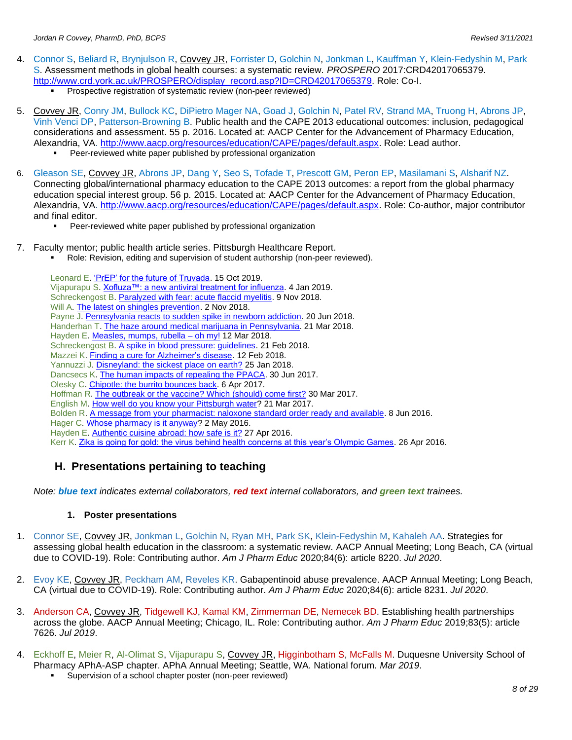- 4. Connor S, Beliard R, Brynjulson R, Covvey JR, Forrister D, Golchin N, Jonkman L, Kauffman Y, Klein-Fedyshin M, Park S. Assessment methods in global health courses: a systematic review. *PROSPERO* 2017:CRD42017065379. [http://www.crd.york.ac.uk/PROSPERO/display\\_record.asp?ID=CRD42017065379.](http://www.crd.york.ac.uk/PROSPERO/display_record.asp?ID=CRD42017065379) Role: Co-I. **•** Prospective registration of systematic review (non-peer reviewed)
- 5. Covvey JR, Conry JM, Bullock KC, DiPietro Mager NA, Goad J, Golchin N, Patel RV, Strand MA, Truong H, Abrons JP, Vinh Venci DP, Patterson-Browning B. Public health and the CAPE 2013 educational outcomes: inclusion, pedagogical considerations and assessment. 55 p. 2016. Located at: AACP Center for the Advancement of Pharmacy Education, Alexandria, VA. [http://www.aacp.org/resources/education/CAPE/pages/default.aspx.](http://www.aacp.org/resources/education/CAPE/pages/default.aspx) Role: Lead author.
	- Peer-reviewed white paper published by professional organization
- 6. Gleason SE, Covvey JR, Abrons JP, Dang Y, Seo S, Tofade T, Prescott GM, Peron EP, Masilamani S, Alsharif NZ. Connecting global/international pharmacy education to the CAPE 2013 outcomes: a report from the global pharmacy education special interest group. 56 p. 2015. Located at: AACP Center for the Advancement of Pharmacy Education, Alexandria, VA. [http://www.aacp.org/resources/education/CAPE/pages/default.aspx.](http://www.aacp.org/resources/education/CAPE/pages/default.aspx) Role: Co-author, major contributor and final editor.
	- **•** Peer-reviewed white paper published by professional organization
- 7. Faculty mentor; public health article series. Pittsburgh Healthcare Report.
	- Role: Revision, editing and supervision of student authorship (non-peer reviewed).

Leonard E[. 'PrEP' for the future of Truvada.](https://www.pittsburghhealthcarereport.com/prep-for-the-future-of-truvada/) 15 Oct 2019. Vijapurapu S[. Xofluza™: a new antiviral treatment for influenza.](https://www.pittsburghhealthcarereport.com/xofluza-a-new-antiviral-treatment-for-influenza%EF%BB%BF/) 4 Jan 2019. Schreckengost B. [Paralyzed with fear: acute flaccid myelitis.](http://www.pittsburghhealthcarereport.com/paralyzed-with-fear-acute-flaccid-myelitis/) 9 Nov 2018. Will A. [The latest on shingles prevention.](http://www.pittsburghhealthcarereport.com/the-latest-on-shingles-prevention/) 2 Nov 2018. Payne J[. Pennsylvania reacts to sudden spike in newborn addiction.](http://www.pittsburghhealthcarereport.com/pennsylvania-reacts-to-sudden-spike-in-newborn-addiction/) 20 Jun 2018. Handerhan T[. The haze around medical marijuana in Pennsylvania.](http://www.pittsburghhealthcarereport.com/the-haze-around-medical-marijuana-in-pennsylvania/) 21 Mar 2018. Hayden E[. Measles, mumps, rubella –](http://www.pittsburghhealthcarereport.com/measles-mumps-rubella-oh-my/) oh my! 12 Mar 2018. Schreckengost B. [A spike in blood pressure: guidelines.](http://www.pittsburghhealthcarereport.com/spike-blood-pressure-guidelines/) 21 Feb 2018. Mazzei K. [Finding a cure for Alzheimer's disease.](http://www.pittsburghhealthcarereport.com/finding-cure-alzheimers-disease/) 12 Feb 2018. Yannuzzi J. [Disneyland: the sickest place on earth?](http://www.pittsburghhealthcarereport.com/disneyland-sickest-place-earth/) 25 Jan 2018. Dancsecs K. [The human impacts of repealing the PPACA.](http://www.pittsburghhealthcarereport.com/human-impacts-repealing-ppaca/) 30 Jun 2017. Olesky C[. Chipotle: the burrito bounces back.](http://www.pittsburghhealthcarereport.com/chipotle-burrito-bounces-back/) 6 Apr 2017. Hoffman R. [The outbreak or the vaccine? Which \(should\) come first?](http://www.pittsburghhealthcarereport.com/outbreak-vaccine-come-first/) 30 Mar 2017. English M[. How well do you know your Pittsburgh water?](http://www.pittsburghhealthcarereport.com/well-know-pittsburgh-water/) 21 Mar 2017. Bolden R. [A message from your pharmacist: naloxone standard order ready and available.](http://www.pittsburghhealthcarereport.com/message-pharmacist-naloxone-standing-order-ready-available/) 8 Jun 2016. Hager C[. Whose pharmacy is it anyway?](http://www.pittsburghhealthcarereport.com/whose-pharmacy-anyway/) 2 May 2016. Hayden E[. Authentic cuisine abroad: how safe is](http://www.pittsburghhealthcarereport.com/authentic-cuisine-abroad-safe/) it? 27 Apr 2016. Kerr K[. Zika is going for gold: the virus behind health concerns at this year's Olympic Games.](http://www.pittsburghhealthcarereport.com/zika-virus-summer-olympic-games/) 26 Apr 2016.

# **H. Presentations pertaining to teaching**

*Note: blue text indicates external collaborators, red text internal collaborators, and green text trainees.*

### **1. Poster presentations**

- 1. Connor SE, Covvey JR, Jonkman L, Golchin N, Ryan MH, Park SK, Klein-Fedyshin M, Kahaleh AA. Strategies for assessing global health education in the classroom: a systematic review. AACP Annual Meeting; Long Beach, CA (virtual due to COVID-19). Role: Contributing author. *Am J Pharm Educ* 2020;84(6): article 8220. *Jul 2020*.
- 2. Evoy KE, Covvey JR, Peckham AM, Reveles KR. Gabapentinoid abuse prevalence. AACP Annual Meeting; Long Beach, CA (virtual due to COVID-19). Role: Contributing author. *Am J Pharm Educ* 2020;84(6): article 8231. *Jul 2020*.
- 3. Anderson CA, Covvey JR, Tidgewell KJ, Kamal KM, Zimmerman DE, Nemecek BD. Establishing health partnerships across the globe. AACP Annual Meeting; Chicago, IL. Role: Contributing author. *Am J Pharm Educ* 2019;83(5): article 7626. *Jul 2019*.
- 4. Eckhoff E, Meier R, Al-Olimat S, Vijapurapu S, Covvey JR, Higginbotham S, McFalls M. Duquesne University School of Pharmacy APhA-ASP chapter. APhA Annual Meeting; Seattle, WA. National forum. *Mar 2019*.
	- Supervision of a school chapter poster (non-peer reviewed)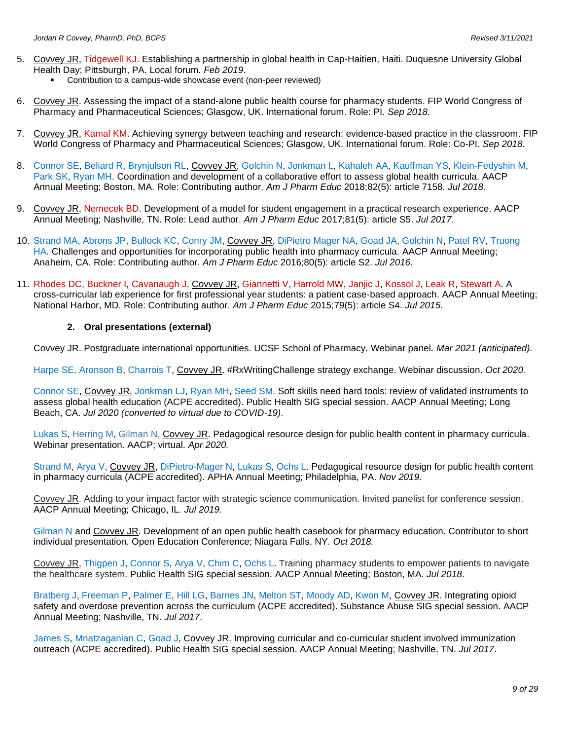- 5. Covvey JR, Tidgewell KJ. Establishing a partnership in global health in Cap-Haitien, Haiti. Duquesne University Global Health Day; Pittsburgh, PA. Local forum. *Feb 2019*.
	- Contribution to a campus-wide showcase event (non-peer reviewed)
- 6. Covvey JR. Assessing the impact of a stand-alone public health course for pharmacy students. FIP World Congress of Pharmacy and Pharmaceutical Sciences; Glasgow, UK. International forum. Role: PI. *Sep 2018.*
- 7. Covvey JR, Kamal KM. Achieving synergy between teaching and research: evidence-based practice in the classroom. FIP World Congress of Pharmacy and Pharmaceutical Sciences; Glasgow, UK. International forum. Role: Co-PI. *Sep 2018.*
- 8. Connor SE, Beliard R, Brynjulson RL, Covvey JR, Golchin N, Jonkman L, Kahaleh AA, Kauffman YS, Klein-Fedyshin M, Park SK, Ryan MH. Coordination and development of a collaborative effort to assess global health curricula. AACP Annual Meeting; Boston, MA. Role: Contributing author. *Am J Pharm Educ* 2018;82(5): article 7158. *Jul 2018.*
- 9. Covvey JR, Nemecek BD. Development of a model for student engagement in a practical research experience. AACP Annual Meeting; Nashville, TN. Role: Lead author. *Am J Pharm Educ* 2017;81(5): article S5. *Jul 2017*.
- 10. Strand MA, Abrons JP, Bullock KC, Conry JM, Covvey JR, DiPietro Mager NA, Goad JA, Golchin N, Patel RV, Truong HA. Challenges and opportunities for incorporating public health into pharmacy curricula. AACP Annual Meeting; Anaheim, CA. Role: Contributing author. *Am J Pharm Educ* 2016;80(5): article S2. *Jul 2016*.
- 11. Rhodes DC, Buckner I, Cavanaugh J, Covvey JR, Giannetti V, Harrold MW, Janjic J, Kossol J, Leak R, Stewart A. A cross-curricular lab experience for first professional year students: a patient case-based approach. AACP Annual Meeting; National Harbor, MD. Role: Contributing author. *Am J Pharm Educ* 2015;79(5): article S4. *Jul 2015*.

#### **2. Oral presentations (external)**

Covvey JR. Postgraduate international opportunities. UCSF School of Pharmacy. Webinar panel. *Mar 2021 (anticipated).*

Harpe SE, Aronson B, Charrois T, Covvey JR. #RxWritingChallenge strategy exchange. Webinar discussion. *Oct 2020.*

Connor SE, Covvey JR, Jonkman LJ, Ryan MH, Seed SM. Soft skills need hard tools: review of validated instruments to assess global health education (ACPE accredited). Public Health SIG special session. AACP Annual Meeting; Long Beach, CA. *Jul 2020 (converted to virtual due to COVID-19)*.

Lukas S, Herring M, Gilman N, Covvey JR. Pedagogical resource design for public health content in pharmacy curricula. Webinar presentation. AACP; virtual. *Apr 2020.*

Strand M, Arya V, Covvey JR, DiPietro-Mager N, Lukas S, Ochs L. Pedagogical resource design for public health content in pharmacy curricula (ACPE accredited). APHA Annual Meeting; Philadelphia, PA. *Nov 2019.*

Covvey JR. Adding to your impact factor with strategic science communication. Invited panelist for conference session. AACP Annual Meeting; Chicago, IL. *Jul 2019.*

Gilman N and Covvey JR. Development of an open public health casebook for pharmacy education. Contributor to short individual presentation. Open Education Conference; Niagara Falls, NY. *Oct 2018.*

Covvey JR, Thigpen J, Connor S, Arya V, Chim C, Ochs L. Training pharmacy students to empower patients to navigate the healthcare system. Public Health SIG special session. AACP Annual Meeting; Boston, MA. *Jul 2018*.

Bratberg J, Freeman P, Palmer E, Hill LG, Barnes JN, Melton ST, Moody AD, Kwon M, Covvey JR. Integrating opioid safety and overdose prevention across the curriculum (ACPE accredited). Substance Abuse SIG special session. AACP Annual Meeting; Nashville, TN. *Jul 2017*.

James S, Mnatzaganian C, Goad J, Covvey JR. Improving curricular and co-curricular student involved immunization outreach (ACPE accredited). Public Health SIG special session. AACP Annual Meeting; Nashville, TN. *Jul 2017*.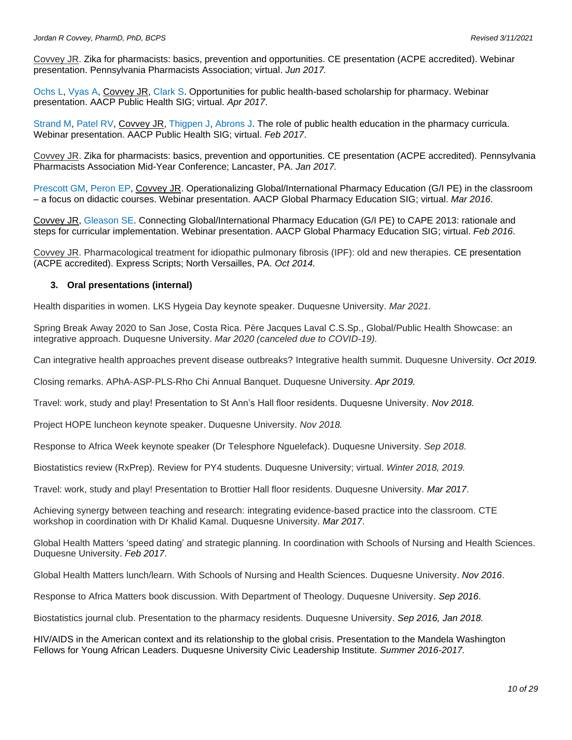Covvey JR. Zika for pharmacists: basics, prevention and opportunities. CE presentation (ACPE accredited). Webinar presentation. Pennsylvania Pharmacists Association; virtual. *Jun 2017.*

Ochs L, Vyas A, Covvey JR, Clark S. Opportunities for public health-based scholarship for pharmacy. Webinar presentation. AACP Public Health SIG; virtual. *Apr 2017*.

Strand M, Patel RV, Covvey JR, Thigpen J, Abrons J. The role of public health education in the pharmacy curricula. Webinar presentation. AACP Public Health SIG; virtual. *Feb 2017*.

Covvey JR. Zika for pharmacists: basics, prevention and opportunities. CE presentation (ACPE accredited). Pennsylvania Pharmacists Association Mid-Year Conference; Lancaster, PA. *Jan 2017.*

Prescott GM, Peron EP, Covvey JR. Operationalizing Global/International Pharmacy Education (G/I PE) in the classroom – a focus on didactic courses. Webinar presentation. AACP Global Pharmacy Education SIG; virtual. *Mar 2016*.

Covvey JR, Gleason SE. Connecting Global/International Pharmacy Education (G/I PE) to CAPE 2013: rationale and steps for curricular implementation. Webinar presentation. AACP Global Pharmacy Education SIG; virtual. *Feb 2016*.

Covvey JR. Pharmacological treatment for idiopathic pulmonary fibrosis (IPF): old and new therapies*.* CE presentation (ACPE accredited). Express Scripts; North Versailles, PA. *Oct 2014.*

#### **3. Oral presentations (internal)**

Health disparities in women. LKS Hygeia Day keynote speaker. Duquesne University. *Mar 2021.*

Spring Break Away 2020 to San Jose, Costa Rica. Père Jacques Laval C.S.Sp., Global/Public Health Showcase: an integrative approach. Duquesne University. *Mar 2020 (canceled due to COVID-19).*

Can integrative health approaches prevent disease outbreaks? Integrative health summit. Duquesne University. *Oct 2019.*

Closing remarks. APhA-ASP-PLS-Rho Chi Annual Banquet. Duquesne University. *Apr 2019.*

Travel: work, study and play! Presentation to St Ann's Hall floor residents. Duquesne University. *Nov 2018.*

Project HOPE luncheon keynote speaker. Duquesne University. *Nov 2018.*

Response to Africa Week keynote speaker (Dr Telesphore Nguelefack). Duquesne University. *Sep 2018.*

Biostatistics review (RxPrep). Review for PY4 students. Duquesne University; virtual. *Winter 2018, 2019.*

Travel: work, study and play! Presentation to Brottier Hall floor residents. Duquesne University. *Mar 2017*.

Achieving synergy between teaching and research: integrating evidence-based practice into the classroom. CTE workshop in coordination with Dr Khalid Kamal. Duquesne University. *Mar 2017*.

Global Health Matters 'speed dating' and strategic planning. In coordination with Schools of Nursing and Health Sciences. Duquesne University. *Feb 2017*.

Global Health Matters lunch/learn. With Schools of Nursing and Health Sciences. Duquesne University. *Nov 2016*.

Response to Africa Matters book discussion. With Department of Theology. Duquesne University. *Sep 2016*.

Biostatistics journal club. Presentation to the pharmacy residents. Duquesne University. *Sep 2016, Jan 2018.*

HIV/AIDS in the American context and its relationship to the global crisis. Presentation to the Mandela Washington Fellows for Young African Leaders. Duquesne University Civic Leadership Institute. *Summer 2016-2017.*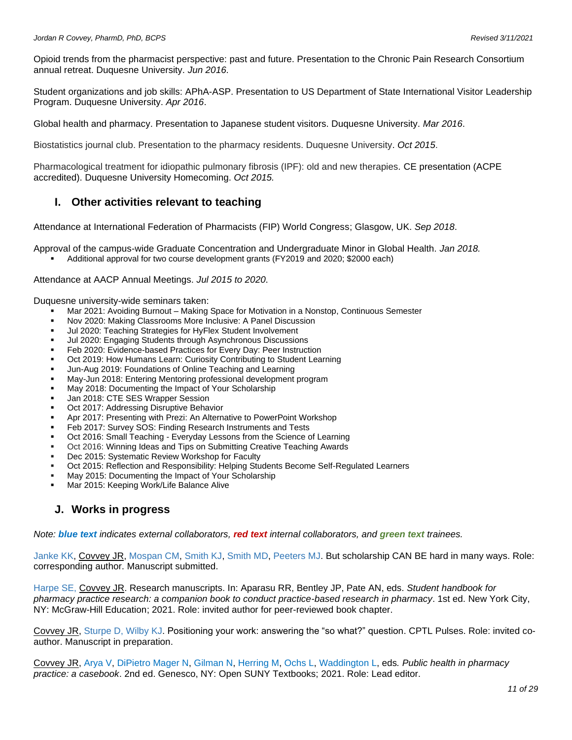Opioid trends from the pharmacist perspective: past and future. Presentation to the Chronic Pain Research Consortium annual retreat. Duquesne University. *Jun 2016*.

Student organizations and job skills: APhA-ASP. Presentation to US Department of State International Visitor Leadership Program. Duquesne University. *Apr 2016*.

Global health and pharmacy. Presentation to Japanese student visitors. Duquesne University. *Mar 2016*.

Biostatistics journal club. Presentation to the pharmacy residents. Duquesne University. *Oct 2015*.

Pharmacological treatment for idiopathic pulmonary fibrosis (IPF): old and new therapies*.* CE presentation (ACPE accredited). Duquesne University Homecoming. *Oct 2015.*

### **I. Other activities relevant to teaching**

Attendance at International Federation of Pharmacists (FIP) World Congress; Glasgow, UK. *Sep 2018*.

Approval of the campus-wide Graduate Concentration and Undergraduate Minor in Global Health. *Jan 2018.* Additional approval for two course development grants (FY2019 and 2020; \$2000 each)

Attendance at AACP Annual Meetings. *Jul 2015 to 2020*.

Duquesne university-wide seminars taken:

- Mar 2021: Avoiding Burnout Making Space for Motivation in a Nonstop, Continuous Semester
- Nov 2020: Making Classrooms More Inclusive: A Panel Discussion
- Jul 2020: Teaching Strategies for HyFlex Student Involvement
- Jul 2020: Engaging Students through Asynchronous Discussions
- Feb 2020: Evidence-based Practices for Every Day: Peer Instruction
- Oct 2019: How Humans Learn: Curiosity Contributing to Student Learning
- Jun-Aug 2019: Foundations of Online Teaching and Learning
- May-Jun 2018: Entering Mentoring professional development program
- May 2018: Documenting the Impact of Your Scholarship
- Jan 2018: CTE SES Wrapper Session
- Oct 2017: Addressing Disruptive Behavior
- Apr 2017: Presenting with Prezi: An Alternative to PowerPoint Workshop
- Feb 2017: Survey SOS: Finding Research Instruments and Tests
- Oct 2016: Small Teaching Everyday Lessons from the Science of Learning
- Oct 2016: Winning Ideas and Tips on Submitting Creative Teaching Awards
- Dec 2015: Systematic Review Workshop for Faculty
- Oct 2015: Reflection and Responsibility: Helping Students Become Self-Regulated Learners
- May 2015: Documenting the Impact of Your Scholarship
- Mar 2015: Keeping Work/Life Balance Alive

#### **J. Works in progress**

*Note: blue text indicates external collaborators, red text internal collaborators, and green text trainees.*

Janke KK, Covvey JR, Mospan CM, Smith KJ, Smith MD, Peeters MJ. But scholarship CAN BE hard in many ways. Role: corresponding author. Manuscript submitted.

Harpe SE, Covvey JR. Research manuscripts. In: Aparasu RR, Bentley JP, Pate AN, eds. *Student handbook for pharmacy practice research: a companion book to conduct practice-based research in pharmacy*. 1st ed. New York City, NY: McGraw-Hill Education; 2021. Role: invited author for peer-reviewed book chapter.

Covvey JR, Sturpe D, Wilby KJ. Positioning your work: answering the "so what?" question. CPTL Pulses. Role: invited coauthor. Manuscript in preparation.

Covvey JR, Arya V, DiPietro Mager N, Gilman N, Herring M, Ochs L, Waddington L, eds*. Public health in pharmacy practice: a casebook*. 2nd ed. Genesco, NY: Open SUNY Textbooks; 2021. Role: Lead editor.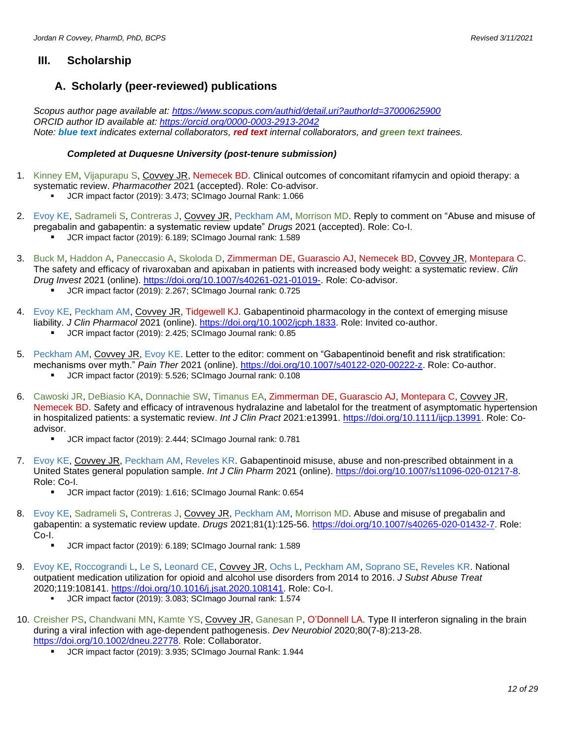### **III. Scholarship**

### **A. Scholarly (peer-reviewed) publications**

*Scopus author page available at:<https://www.scopus.com/authid/detail.uri?authorId=37000625900> ORCID author ID available at:<https://orcid.org/0000-0003-2913-2042> Note: blue text indicates external collaborators, red text internal collaborators, and green text trainees.*

#### *Completed at Duquesne University (post-tenure submission)*

- 1. Kinney EM, Vijapurapu S, Covvey JR, Nemecek BD. Clinical outcomes of concomitant rifamycin and opioid therapy: a systematic review. *Pharmacother* 2021 (accepted). Role: Co-advisor. JCR impact factor (2019): 3.473; SCImago Journal Rank: 1.066
- 2. Evoy KE, Sadrameli S, Contreras J, Covvey JR, Peckham AM, Morrison MD. Reply to comment on "Abuse and misuse of pregabalin and gabapentin: a systematic review update" *Drugs* 2021 (accepted). Role: Co-I. JCR impact factor (2019): 6.189; SCImago Journal rank: 1.589
- 3. Buck M, Haddon A, Paneccasio A, Skoloda D, Zimmerman DE, Guarascio AJ, Nemecek BD, Covvey JR, Montepara C. The safety and efficacy of rivaroxaban and apixaban in patients with increased body weight: a systematic review. *Clin Drug Invest* 2021 (online). [https://doi.org/10.1007/s40261-021-01019-.](https://doi.org/10.1007/s40261-021-01019-) Role: Co-advisor.
	- JCR impact factor (2019): 2.267; SCImago Journal rank: 0.725
- 4. Evoy KE, Peckham AM, Covvey JR, Tidgewell KJ. Gabapentinoid pharmacology in the context of emerging misuse liability. *J Clin Pharmacol* 2021 (online). [https://doi.org/10.1002/jcph.1833.](https://doi.org/10.1002/jcph.1833) Role: Invited co-author.
	- JCR impact factor (2019): 2.425; SCImago Journal rank: 0.85
- 5. Peckham AM, Covvey JR, Evoy KE. Letter to the editor: comment on "Gabapentinoid benefit and risk stratification: mechanisms over myth." *Pain Ther* 2021 (online). [https://doi.org/10.1007/s40122-020-00222-z.](https://doi.org/10.1007/s40122-020-00222-z) Role: Co-author.
	- JCR impact factor (2019): 5.526; SCImago Journal rank: 0.108
- 6. Cawoski JR, DeBiasio KA, Donnachie SW, Timanus EA, Zimmerman DE, Guarascio AJ, Montepara C, Covvey JR, Nemecek BD. Safety and efficacy of intravenous hydralazine and labetalol for the treatment of asymptomatic hypertension in hospitalized patients: a systematic review. *Int J Clin Pract* 2021:e13991. [https://doi.org/10.1111/ijcp.13991.](https://doi.org/10.1111/ijcp.13991) Role: Coadvisor.
	- JCR impact factor (2019): 2.444; SCImago Journal rank: 0.781
- 7. Evoy KE, Covvey JR, Peckham AM, Reveles KR. Gabapentinoid misuse, abuse and non-prescribed obtainment in a United States general population sample. *Int J Clin Pharm* 2021 (online). [https://doi.org/10.1007/s11096-020-01217-8.](https://doi.org/10.1007/s11096-020-01217-8) Role: Co-I.
	- JCR impact factor (2019): 1.616; SCImago Journal Rank: 0.654
- 8. Evoy KE, Sadrameli S, Contreras J, Covvey JR, Peckham AM, Morrison MD. Abuse and misuse of pregabalin and gabapentin: a systematic review update. *Drugs* 2021;81(1):125-56. [https://doi.org/10.1007/s40265-020-01432-7.](https://doi.org/10.1007/s40265-020-01432-7) Role: Co-I.
	- JCR impact factor (2019): 6.189; SCImago Journal rank: 1.589
- 9. Evoy KE, Roccograndi L, Le S, Leonard CE, Covvey JR, Ochs L, Peckham AM, Soprano SE, Reveles KR. National outpatient medication utilization for opioid and alcohol use disorders from 2014 to 2016. *J Subst Abuse Treat* 2020;119:108141. [https://doi.org/10.1016/j.jsat.2020.108141.](https://doi.org/10.1016/j.jsat.2020.108141) Role: Co-I.
	- JCR impact factor (2019): 3.083; SCImago Journal rank: 1.574
- 10. Creisher PS, Chandwani MN, Kamte YS, Covvey JR, Ganesan P, O'Donnell LA. Type II interferon signaling in the brain during a viral infection with age-dependent pathogenesis. *Dev Neurobiol* 2020;80(7-8):213-28. [https://doi.org/10.1002/dneu.22778.](https://doi.org/10.1002/dneu.22778) Role: Collaborator.
	- JCR impact factor (2019): 3.935; SCImago Journal Rank: 1.944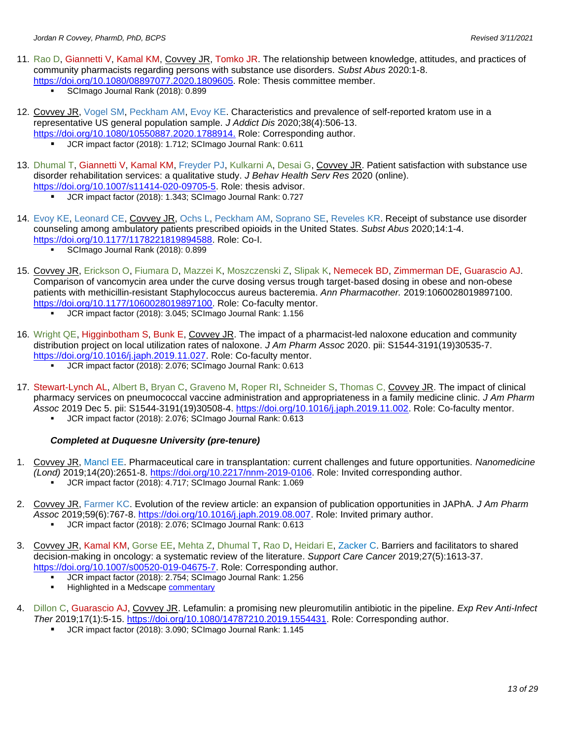- 11. Rao D, Giannetti V, Kamal KM, Covvey JR, Tomko JR. The relationship between knowledge, attitudes, and practices of community pharmacists regarding persons with substance use disorders. *Subst Abus* 2020:1-8. [https://doi.org/10.1080/08897077.2020.1809605.](https://dx.doi.org/10.1080/08897077.2020.1809605) Role: Thesis committee member.
	- SCImago Journal Rank (2018): 0.899
- 12. Covvey JR, Vogel SM, Peckham AM, Evoy KE. Characteristics and prevalence of self-reported kratom use in a representative US general population sample. *J Addict Dis* 2020;38(4):506-13. [https://doi.org/10.1080/10550887.2020.1788914.](https://doi.org/10.1080/10550887.2020.1788914) Role: Corresponding author.
	- **UCR** impact factor (2018): 1.712; SCImago Journal Rank: 0.611
- 13. Dhumal T, Giannetti V, Kamal KM, Freyder PJ, Kulkarni A, Desai G, Covvey JR. Patient satisfaction with substance use disorder rehabilitation services: a qualitative study. *J Behav Health Serv Res* 2020 (online). [https://doi.org/10.1007/s11414-020-09705-5.](https://dx.doi.org/10.1007/s11414-020-09705-5) Role: thesis advisor.
	- JCR impact factor (2018): 1.343; SCImago Journal Rank: 0.727
- 14. Evoy KE, Leonard CE, Covvey JR, Ochs L, Peckham AM, Soprano SE, Reveles KR. Receipt of substance use disorder counseling among ambulatory patients prescribed opioids in the United States. *Subst Abus* 2020;14:1-4. [https://doi.org/10.1177/1178221819894588.](https://dx.doi.org/10.1177/1178221819894588) Role: Co-I.
	- **SCImago Journal Rank (2018): 0.899**
- 15. Covvey JR, Erickson O, Fiumara D, Mazzei K, Moszczenski Z, Slipak K, Nemecek BD, Zimmerman DE, Guarascio AJ. Comparison of vancomycin area under the curve dosing versus trough target-based dosing in obese and non-obese patients with methicillin-resistant Staphylococcus aureus bacteremia. *Ann Pharmacother.* 2019:1060028019897100. [https://doi.org/10.1177/1060028019897100.](https://dx.doi.org/10.1177/1060028019897100) Role: Co-faculty mentor.
	- JCR impact factor (2018): 3.045; SCImago Journal Rank: 1.156
- 16. Wright QE, Higginbotham S, Bunk E, Covvey JR. The impact of a pharmacist-led naloxone education and community distribution project on local utilization rates of naloxone. *J Am Pharm Assoc* 2020. pii: S1544-3191(19)30535-7. [https://doi.org/10.1016/j.japh.2019.11.027.](https://dx.doi.org/10.1016/j.japh.2019.11.027) Role: Co-faculty mentor.
	- JCR impact factor (2018): 2.076; SCImago Journal Rank: 0.613
- 17. Stewart-Lynch AL, Albert B, Bryan C, Graveno M, Roper RI, Schneider S, Thomas C, Covvey JR. The impact of clinical pharmacy services on pneumococcal vaccine administration and appropriateness in a family medicine clinic. *J Am Pharm Assoc* 2019 Dec 5. pii: S1544-3191(19)30508-4. [https://doi.org/10.1016/j.japh.2019.11.002.](https://dx.doi.org/10.1016/j.japh.2019.11.002) Role: Co-faculty mentor.
	- JCR impact factor (2018): 2.076; SCImago Journal Rank: 0.613

#### *Completed at Duquesne University (pre-tenure)*

- 1. Covvey JR, Mancl EE. Pharmaceutical care in transplantation: current challenges and future opportunities. *Nanomedicine (Lond)* 2019;14(20):2651-8. [https://doi.org/10.2217/nnm-2019-0106.](https://dx.doi.org/10.2217/nnm-2019-0106) Role: Invited corresponding author.
	- JCR impact factor (2018): 4.717; SCImago Journal Rank: 1.069
- 2. Covvey JR, Farmer KC. Evolution of the review article: an expansion of publication opportunities in JAPhA. *J Am Pharm Assoc* 2019;59(6):767-8. [https://doi.org/10.1016/j.japh.2019.08.007.](https://dx.doi.org/10.1016/j.japh.2019.08.007) Role: Invited primary author.
	- JCR impact factor (2018): 2.076; SCImago Journal Rank: 0.613
- 3. Covvey JR, Kamal KM, Gorse EE, Mehta Z, Dhumal T, Rao D, Heidari E, Zacker C. Barriers and facilitators to shared decision-making in oncology: a systematic review of the literature. *Support Care Cancer* 2019;27(5):1613-37. [https://doi.org/10.1007/s00520-019-04675-7.](https://dx.doi.org/10.1007/s00520-019-04675-7) Role: Corresponding author.
	- JCR impact factor (2018): 2.754; SCImago Journal Rank: 1.256
	- Highlighted in a Medscap[e commentary](https://www.medscape.com/viewarticle/914088)
- 4. Dillon C, Guarascio AJ, Covvey JR. Lefamulin: a promising new pleuromutilin antibiotic in the pipeline. *Exp Rev Anti-Infect Ther* 2019;17(1):5-15. [https://doi.org/10.1080/14787210.2019.1554431.](https://dx.doi.org/10.1080/14787210.2019.1554431) Role: Corresponding author.
	- JCR impact factor (2018): 3.090; SCImago Journal Rank: 1.145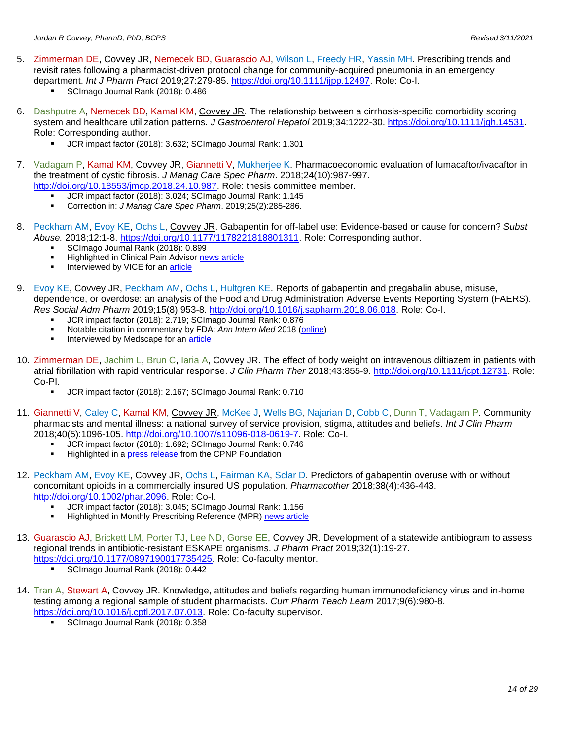- 5. Zimmerman DE, Covvey JR, Nemecek BD, Guarascio AJ, Wilson L, Freedy HR, Yassin MH. Prescribing trends and revisit rates following a pharmacist-driven protocol change for community-acquired pneumonia in an emergency department. *Int J Pharm Pract* 2019;27:279-85. [https://doi.org/10.1111/ijpp.12497.](https://dx.doi.org/10.1111/ijpp.12497) Role: Co-I.
	- SCImago Journal Rank (2018): 0.486
- 6. Dashputre A, Nemecek BD, Kamal KM, Covvey JR. The relationship between a cirrhosis-specific comorbidity scoring system and healthcare utilization patterns. *J Gastroenterol Hepatol* 2019;34:1222-30. [https://doi.org/10.1111/jgh.14531.](https://doi.org/10.1111/jgh.14531) Role: Corresponding author.
	- JCR impact factor (2018): 3.632; SCImago Journal Rank: 1.301
- 7. Vadagam P, Kamal KM, Covvey JR, Giannetti V, Mukherjee K. Pharmacoeconomic evaluation of lumacaftor/ivacaftor in the treatment of cystic fibrosis. *J Manag Care Spec Pharm*. 2018;24(10):987-997. [http://doi.org/10.18553/jmcp.2018.24.10.987.](http://doi.org/10.18553/jmcp.2018.24.10.987) Role: thesis committee member.
	- JCR impact factor (2018): 3.024; SCImago Journal Rank: 1.145
	- Correction in: *J Manag Care Spec Pharm*. 2019;25(2):285-286.
- 8. Peckham AM, Evoy KE, Ochs L, Covvey JR. Gabapentin for off-label use: Evidence-based or cause for concern? *Subst Abuse.* 2018;12:1-8. [https://doi.org/10.1177/1178221818801311.](https://doi.org/10.1177/1178221818801311) Role: Corresponding author.
	- **SCImago Journal Rank (2018): 0.899**<br>• Highlighted in Clinical Pain Advisor ne
	- **Highlighted in Clinical Pain Advisor [news article](https://www.clinicalpainadvisor.com/practice-management/gabapentin-off-label-indications-little-evidence/article/810712/?utm_source=twitter&utm_medium=social&utm_campaign=cpa_daily-social-post)**
	- **■** Interviewed by VICE for an **article**
- 9. Evoy KE, Covvey JR, Peckham AM, Ochs L, Hultgren KE. Reports of gabapentin and pregabalin abuse, misuse, dependence, or overdose: an analysis of the Food and Drug Administration Adverse Events Reporting System (FAERS). *Res Social Adm Pharm* 2019;15(8):953-8. [http://doi.org/10.1016/j.sapharm.2018.06.018.](http://doi.org/10.1016/j.sapharm.2018.06.018) Role: Co-I.
	- JCR impact factor (2018): 2.719; SCImago Journal Rank: 0.876
	- Notable citation in commentary by FDA: Ann Intern Med 2018 [\(online\)](http://doi.org/10.7326/M18-2175)
	- Interviewed by Medscape for an **article**
- 10. Zimmerman DE, Jachim L, Brun C, Iaria A, Covvey JR. The effect of body weight on intravenous diltiazem in patients with atrial fibrillation with rapid ventricular response. *J Clin Pharm Ther* 2018;43:855-9. [http://doi.org/10.1111/jcpt.12731.](http://doi.org/10.1111/jcpt.12731) Role: Co-PI.
	- JCR impact factor (2018): 2.167; SCImago Journal Rank: 0.710
- 11. Giannetti V, Caley C, Kamal KM, Covvey JR, McKee J, Wells BG, Najarian D, Cobb C, Dunn T, Vadagam P. Community pharmacists and mental illness: a national survey of service provision, stigma, attitudes and beliefs. *Int J Clin Pharm*  2018;40(5):1096-105. [http://doi.org/10.1007/s11096-018-0619-7.](http://doi.org/10.1007/s11096-018-0619-7) Role: Co-I.
	- JCR impact factor (2018): 1.692; SCImago Journal Rank: 0.746
	- Highlighted in [a press release](https://cpnpf.org/_docs/foundation/2018/Stigma_Research_Paper_Published_-_Press_Release.pdf?utm_campaign=cpnpf&utm_medium=email&utm_source=DM20180626) from the CPNP Foundation
- 12. Peckham AM, Evoy KE, Covvey JR, Ochs L, Fairman KA, Sclar D. Predictors of gabapentin overuse with or without concomitant opioids in a commercially insured US population. *Pharmacother* 2018;38(4):436-443. [http://doi.org/10.1002/phar.2096.](http://dx.doi.org/10.1002/phar.2096) Role: Co-I.
	- JCR impact factor (2018): 3.045; SCImago Journal Rank: 1.156
	- **Highlighted in Monthly Prescribing Reference (MPR) [news article](https://www.empr.com/home/news/certain-factors-may-increase-the-likelihood-of-gabapentin-overuse/)**
- 13. Guarascio AJ, Brickett LM, Porter TJ, Lee ND, Gorse EE, Covvey JR. Development of a statewide antibiogram to assess regional trends in antibiotic-resistant ESKAPE organisms. *J Pharm Pract* 2019;32(1):19-27. [https://doi.org/10.1177/0897190017735425.](https://doi.org/10.1177/0897190017735425) Role: Co-faculty mentor.
	- SCImago Journal Rank (2018): 0.442
- 14. Tran A, Stewart A, Covvey JR. Knowledge, attitudes and beliefs regarding human immunodeficiency virus and in-home testing among a regional sample of student pharmacists. *Curr Pharm Teach Learn* 2017;9(6):980-8. [https://doi.org/10.1016/j.cptl.2017.07.013.](https://doi.org/10.1016/j.cptl.2017.07.013) Role: Co-faculty supervisor.
	- SCImago Journal Rank (2018): 0.358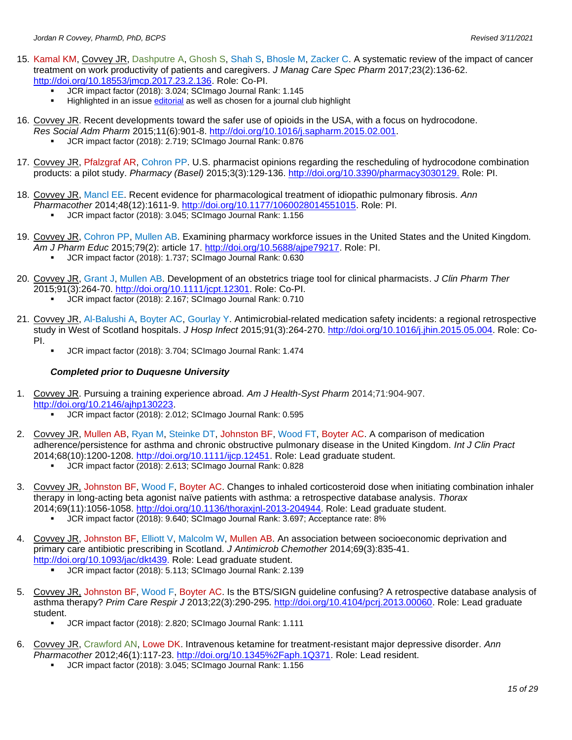- 15. Kamal KM, Covvey JR, Dashputre A, Ghosh S, Shah S, Bhosle M, Zacker C. A systematic review of the impact of cancer treatment on work productivity of patients and caregivers. *J Manag Care Spec Pharm* 2017;23(2):136-62. [http://doi.org/10.18553/jmcp.2017.23.2.136.](http://dx.doi.org/10.18553/jmcp.2017.23.2.136) Role: Co-PI.
	- **UCR** impact factor (2018): 3.024; SCImago Journal Rank: 1.145
	- Highlighted in an issue [editorial](https://www.jmcp.org/doi/pdf/10.18553/jmcp.2017.23.2.122) as well as chosen for a journal club highlight
- 16. Covvey JR. Recent developments toward the safer use of opioids in the USA, with a focus on hydrocodone. *Res Social Adm Pharm* 2015;11(6):901-8. [http://doi.org/10.1016/j.sapharm.2015.02.001.](http://dx.doi.org/10.1016/j.sapharm.2015.02.001)
	- JCR impact factor (2018): 2.719; SCImago Journal Rank: 0.876
- 17. Covvey JR, Pfalzgraf AR, Cohron PP. U.S. pharmacist opinions regarding the rescheduling of hydrocodone combination products: a pilot study. *Pharmacy (Basel)* 2015;3(3):129-136. [http://doi.org/10.3390/pharmacy3030129.](http://dx.doi.org/10.3390/pharmacy3030129) Role: PI.
- 18. Covvey JR, Mancl EE. Recent evidence for pharmacological treatment of idiopathic pulmonary fibrosis. *Ann Pharmacother* 2014;48(12):1611-9. [http://doi.org/10.1177/1060028014551015.](http://dx.doi.org/10.1177/1060028014551015) Role: PI.
	- JCR impact factor (2018): 3.045; SCImago Journal Rank: 1.156
- 19. Covvey JR, Cohron PP, Mullen AB. Examining pharmacy workforce issues in the United States and the United Kingdom*. Am J Pharm Educ* 2015;79(2): article 17. [http://doi.org/10.5688/ajpe79217.](http://dx.doi.org/10.5688/ajpe79217) Role: PI.
	- JCR impact factor (2018): 1.737; SCImago Journal Rank: 0.630
- 20. Covvey JR, Grant J, Mullen AB. Development of an obstetrics triage tool for clinical pharmacists. *J Clin Pharm Ther* 2015;91(3):264-70. [http://doi.org/10.1111/jcpt.12301.](http://dx.doi.org/10.1111/jcpt.12301) Role: Co-PI.
	- JCR impact factor (2018): 2.167; SCImago Journal Rank: 0.710
- 21. Covvey JR, Al-Balushi A, Boyter AC, Gourlay Y. Antimicrobial-related medication safety incidents: a regional retrospective study in West of Scotland hospitals. *J Hosp Infect* 2015;91(3):264-270. [http://doi.org/10.1016/j.jhin.2015.05.004.](http://dx.doi.org/10.1016/j.jhin.2015.05.004) Role: Co-PI.
	- JCR impact factor (2018): 3.704; SCImago Journal Rank: 1.474

#### *Completed prior to Duquesne University*

- 1. Covvey JR. Pursuing a training experience abroad. *Am J Health-Syst Pharm* 2014;71:904-907. [http://doi.org/10.2146/ajhp130223.](http://dx.doi.org/10.2146/ajhp130223)
	- JCR impact factor (2018): 2.012; SCImago Journal Rank: 0.595
- 2. Covvey JR, Mullen AB, Ryan M, Steinke DT, Johnston BF, Wood FT, Boyter AC. A comparison of medication adherence/persistence for asthma and chronic obstructive pulmonary disease in the United Kingdom. *Int J Clin Pract* 2014;68(10):1200-1208. [http://doi.org/10.1111/ijcp.12451.](http://dx.doi.org/10.1111/ijcp.12451) Role: Lead graduate student.
	- JCR impact factor (2018): 2.613; SCImago Journal Rank: 0.828
- 3. Covvey JR, Johnston BF, Wood F, Boyter AC. Changes to inhaled corticosteroid dose when initiating combination inhaler therapy in long-acting beta agonist naïve patients with asthma: a retrospective database analysis. *Thorax*  2014;69(11):1056-1058. [http://doi.org/10.1136/thoraxjnl-2013-204944.](http://dx.doi.org/10.1136/thoraxjnl-2013-204944) Role: Lead graduate student.
	- JCR impact factor (2018): 9.640; SCImago Journal Rank: 3.697; Acceptance rate: 8%
- 4. Covvey JR, Johnston BF, Elliott V, Malcolm W, Mullen AB. An association between socioeconomic deprivation and primary care antibiotic prescribing in Scotland. *J Antimicrob Chemother* 2014;69(3):835-41. [http://doi.org/10.1093/jac/dkt439.](http://dx.doi.org/10.1093/jac/dkt439) Role: Lead graduate student.
	- JCR impact factor (2018): 5.113; SCImago Journal Rank: 2.139
- 5. Covvey JR, Johnston BF, Wood F, Boyter AC. Is the BTS/SIGN guideline confusing? A retrospective database analysis of asthma therapy? *Prim Care Respir J* 2013;22(3):290-295*.* [http://doi.org/10.4104/pcrj.2013.00060.](http://dx.doi.org/10.4104/pcrj.2013.00060) Role: Lead graduate student.
	- JCR impact factor (2018): 2.820; SCImago Journal Rank: 1.111
- 6. Covvey JR, Crawford AN, Lowe DK. Intravenous ketamine for treatment-resistant major depressive disorder. *Ann Pharmacother* 2012;46(1):117-23. [http://doi.org/10.1345%2Faph.1Q371.](http://dx.doi.org/10.1345%2Faph.1Q371) Role: Lead resident.
	- JCR impact factor (2018): 3.045; SCImago Journal Rank: 1.156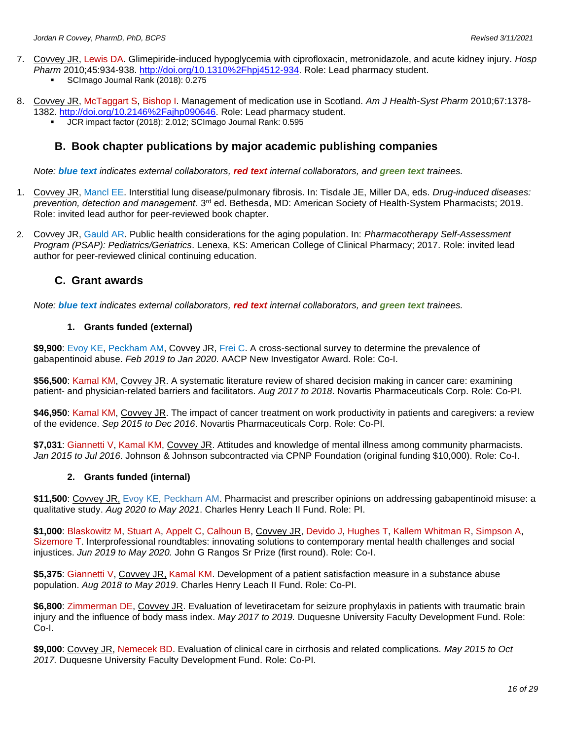- 7. Covvey JR, Lewis DA. Glimepiride-induced hypoglycemia with ciprofloxacin, metronidazole, and acute kidney injury. *Hosp Pharm* 2010;45:934-938. [http://doi.org/10.1310%2Fhpj4512-934.](http://dx.doi.org/10.1310%2Fhpj4512-934) Role: Lead pharmacy student.
	- SCImago Journal Rank (2018): 0.275
- 8. Covvey JR, McTaggart S, Bishop I. Management of medication use in Scotland. *Am J Health-Syst Pharm* 2010;67:1378- 1382. [http://doi.org/10.2146%2Fajhp090646.](http://dx.doi.org/10.2146%2Fajhp090646) Role: Lead pharmacy student.
	- JCR impact factor (2018): 2.012; SCImago Journal Rank: 0.595

### **B. Book chapter publications by major academic publishing companies**

*Note: blue text indicates external collaborators, red text internal collaborators, and green text trainees.*

- 1. Covvey JR, Mancl EE. Interstitial lung disease/pulmonary fibrosis. In: Tisdale JE, Miller DA, eds. *Drug-induced diseases: prevention, detection and management*. 3rd ed. Bethesda, MD: American Society of Health-System Pharmacists; 2019. Role: invited lead author for peer-reviewed book chapter.
- 2. Covvey JR, Gauld AR. Public health considerations for the aging population. In: *Pharmacotherapy Self-Assessment Program (PSAP): Pediatrics/Geriatrics*. Lenexa, KS: American College of Clinical Pharmacy; 2017. Role: invited lead author for peer-reviewed clinical continuing education.

#### **C. Grant awards**

*Note: blue text indicates external collaborators, red text internal collaborators, and green text trainees.*

#### **1. Grants funded (external)**

\$9,900: Evoy KE, Peckham AM, Covvey JR, Frei C. A cross-sectional survey to determine the prevalence of gabapentinoid abuse. *Feb 2019 to Jan 2020*. AACP New Investigator Award. Role: Co-I.

**\$56,500**: Kamal KM, Covvey JR. A systematic literature review of shared decision making in cancer care: examining patient- and physician-related barriers and facilitators. *Aug 2017 to 2018*. Novartis Pharmaceuticals Corp. Role: Co-PI.

**\$46,950**: Kamal KM, Covvey JR. The impact of cancer treatment on work productivity in patients and caregivers: a review of the evidence. *Sep 2015 to Dec 2016*. Novartis Pharmaceuticals Corp. Role: Co-PI.

**\$7,031**: Giannetti V, Kamal KM, Covvey JR. Attitudes and knowledge of mental illness among community pharmacists. *Jan 2015 to Jul 2016*. Johnson & Johnson subcontracted via CPNP Foundation (original funding \$10,000). Role: Co-I.

#### **2. Grants funded (internal)**

**\$11,500**: Covvey JR, Evoy KE, Peckham AM. Pharmacist and prescriber opinions on addressing gabapentinoid misuse: a qualitative study. *Aug 2020 to May 2021*. Charles Henry Leach II Fund. Role: PI.

**\$1,000**: Blaskowitz M, Stuart A, Appelt C, Calhoun B, Covvey JR, Devido J, Hughes T, Kallem Whitman R, Simpson A, Sizemore T. Interprofessional roundtables: innovating solutions to contemporary mental health challenges and social injustices. *Jun 2019 to May 2020.* John G Rangos Sr Prize (first round). Role: Co-I.

**\$5,375**: Giannetti V, Covvey JR, Kamal KM. Development of a patient satisfaction measure in a substance abuse population. *Aug 2018 to May 2019*. Charles Henry Leach II Fund. Role: Co-PI.

**\$6,800**: Zimmerman DE, Covvey JR. Evaluation of levetiracetam for seizure prophylaxis in patients with traumatic brain injury and the influence of body mass index. *May 2017 to 2019.* Duquesne University Faculty Development Fund. Role: Co-I.

**\$9,000**: Covvey JR, Nemecek BD. Evaluation of clinical care in cirrhosis and related complications. *May 2015 to Oct 2017.* Duquesne University Faculty Development Fund. Role: Co-PI.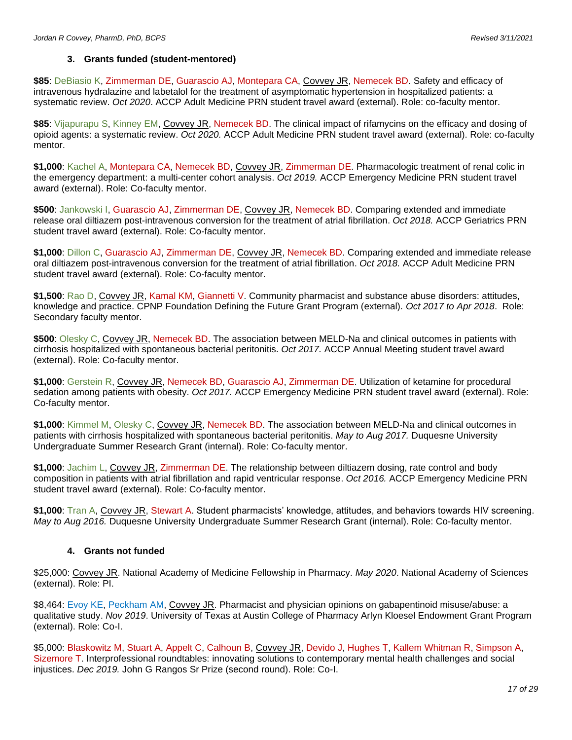#### **3. Grants funded (student-mentored)**

**\$85**: DeBiasio K, Zimmerman DE, Guarascio AJ, Montepara CA, Covvey JR, Nemecek BD. Safety and efficacy of intravenous hydralazine and labetalol for the treatment of asymptomatic hypertension in hospitalized patients: a systematic review. *Oct 2020*. ACCP Adult Medicine PRN student travel award (external). Role: co-faculty mentor.

**\$85**: Vijapurapu S, Kinney EM, Covvey JR, Nemecek BD. The clinical impact of rifamycins on the efficacy and dosing of opioid agents: a systematic review. *Oct 2020.* ACCP Adult Medicine PRN student travel award (external). Role: co-faculty mentor.

**\$1,000**: Kachel A, Montepara CA, Nemecek BD, Covvey JR, Zimmerman DE. Pharmacologic treatment of renal colic in the emergency department: a multi-center cohort analysis. *Oct 2019.* ACCP Emergency Medicine PRN student travel award (external). Role: Co-faculty mentor.

**\$500**: Jankowski I, Guarascio AJ, Zimmerman DE, Covvey JR, Nemecek BD. Comparing extended and immediate release oral diltiazem post-intravenous conversion for the treatment of atrial fibrillation. *Oct 2018.* ACCP Geriatrics PRN student travel award (external). Role: Co-faculty mentor.

**\$1,000**: Dillon C, Guarascio AJ, Zimmerman DE, Covvey JR, Nemecek BD. Comparing extended and immediate release oral diltiazem post-intravenous conversion for the treatment of atrial fibrillation. *Oct 2018.* ACCP Adult Medicine PRN student travel award (external). Role: Co-faculty mentor.

**\$1,500**: Rao D, Covvey JR, Kamal KM, Giannetti V. Community pharmacist and substance abuse disorders: attitudes, knowledge and practice. CPNP Foundation Defining the Future Grant Program (external). *Oct 2017 to Apr 2018*. Role: Secondary faculty mentor.

**\$500**: Olesky C, Covvey JR, Nemecek BD. The association between MELD-Na and clinical outcomes in patients with cirrhosis hospitalized with spontaneous bacterial peritonitis. *Oct 2017.* ACCP Annual Meeting student travel award (external). Role: Co-faculty mentor.

**\$1,000**: Gerstein R, Covvey JR, Nemecek BD, Guarascio AJ, Zimmerman DE. Utilization of ketamine for procedural sedation among patients with obesity. *Oct 2017.* ACCP Emergency Medicine PRN student travel award (external). Role: Co-faculty mentor.

**\$1,000**: Kimmel M, Olesky C, Covvey JR, Nemecek BD. The association between MELD-Na and clinical outcomes in patients with cirrhosis hospitalized with spontaneous bacterial peritonitis. *May to Aug 2017.* Duquesne University Undergraduate Summer Research Grant (internal). Role: Co-faculty mentor.

**\$1,000**: Jachim L, Covvey JR, Zimmerman DE. The relationship between diltiazem dosing, rate control and body composition in patients with atrial fibrillation and rapid ventricular response. *Oct 2016.* ACCP Emergency Medicine PRN student travel award (external). Role: Co-faculty mentor.

**\$1,000**: Tran A, Covvey JR, Stewart A. Student pharmacists' knowledge, attitudes, and behaviors towards HIV screening. *May to Aug 2016.* Duquesne University Undergraduate Summer Research Grant (internal). Role: Co-faculty mentor.

#### **4. Grants not funded**

\$25,000: Covvey JR. National Academy of Medicine Fellowship in Pharmacy. *May 2020*. National Academy of Sciences (external). Role: PI.

\$8,464: Evoy KE, Peckham AM, Covvey JR. Pharmacist and physician opinions on gabapentinoid misuse/abuse: a qualitative study. *Nov 2019*. University of Texas at Austin College of Pharmacy Arlyn Kloesel Endowment Grant Program (external). Role: Co-I.

\$5,000: Blaskowitz M, Stuart A, Appelt C, Calhoun B, Covvey JR, Devido J, Hughes T, Kallem Whitman R, Simpson A, Sizemore T. Interprofessional roundtables: innovating solutions to contemporary mental health challenges and social injustices. *Dec 2019.* John G Rangos Sr Prize (second round). Role: Co-I.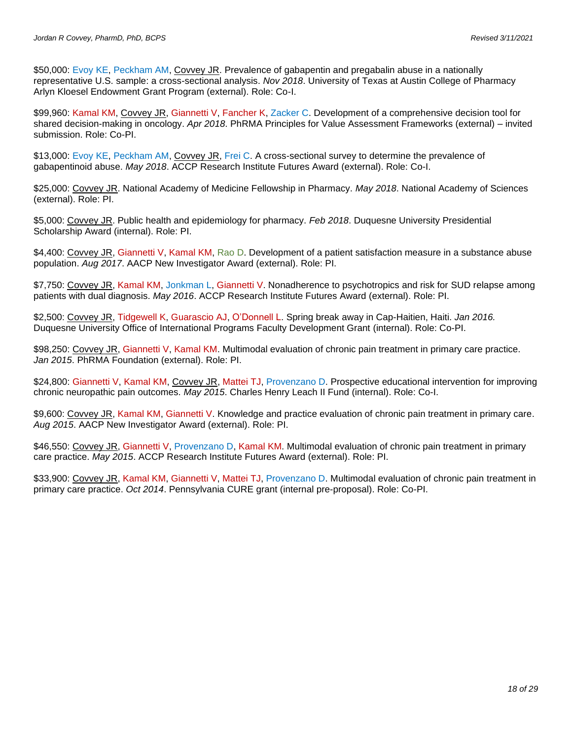\$50,000: Evoy KE, Peckham AM, Covvey JR. Prevalence of gabapentin and pregabalin abuse in a nationally representative U.S. sample: a cross-sectional analysis. *Nov 2018*. University of Texas at Austin College of Pharmacy Arlyn Kloesel Endowment Grant Program (external). Role: Co-I.

\$99,960: Kamal KM, Covvey JR, Giannetti V, Fancher K, Zacker C. Development of a comprehensive decision tool for shared decision-making in oncology. *Apr 2018*. PhRMA Principles for Value Assessment Frameworks (external) – invited submission. Role: Co-PI.

\$13,000: Evoy KE, Peckham AM, Covvey JR, Frei C. A cross-sectional survey to determine the prevalence of gabapentinoid abuse. *May 2018*. ACCP Research Institute Futures Award (external). Role: Co-I.

\$25,000: Covvey JR. National Academy of Medicine Fellowship in Pharmacy. *May 2018*. National Academy of Sciences (external). Role: PI.

\$5,000: Covvey JR. Public health and epidemiology for pharmacy. *Feb 2018*. Duquesne University Presidential Scholarship Award (internal). Role: PI.

\$4,400: Covvey JR, Giannetti V, Kamal KM, Rao D. Development of a patient satisfaction measure in a substance abuse population. *Aug 2017*. AACP New Investigator Award (external). Role: PI.

\$7,750: Covvey JR, Kamal KM, Jonkman L, Giannetti V. Nonadherence to psychotropics and risk for SUD relapse among patients with dual diagnosis. *May 2016*. ACCP Research Institute Futures Award (external). Role: PI.

\$2,500: Covvey JR, Tidgewell K, Guarascio AJ, O'Donnell L. Spring break away in Cap-Haitien, Haiti. *Jan 2016.*  Duquesne University Office of International Programs Faculty Development Grant (internal). Role: Co-PI.

\$98,250: Covvey JR, Giannetti V, Kamal KM. Multimodal evaluation of chronic pain treatment in primary care practice. *Jan 2015*. PhRMA Foundation (external). Role: PI.

\$24,800: Giannetti V, Kamal KM, Covvey JR, Mattei TJ, Provenzano D. Prospective educational intervention for improving chronic neuropathic pain outcomes. *May 2015*. Charles Henry Leach II Fund (internal). Role: Co-I.

\$9,600: Covvey JR, Kamal KM, Giannetti V. Knowledge and practice evaluation of chronic pain treatment in primary care. *Aug 2015*. AACP New Investigator Award (external). Role: PI.

\$46,550: Covvey JR, Giannetti V, Provenzano D, Kamal KM. Multimodal evaluation of chronic pain treatment in primary care practice. *May 2015*. ACCP Research Institute Futures Award (external). Role: PI.

\$33,900: Covvey JR, Kamal KM, Giannetti V, Mattei TJ, Provenzano D. Multimodal evaluation of chronic pain treatment in primary care practice. *Oct 2014*. Pennsylvania CURE grant (internal pre-proposal). Role: Co-PI.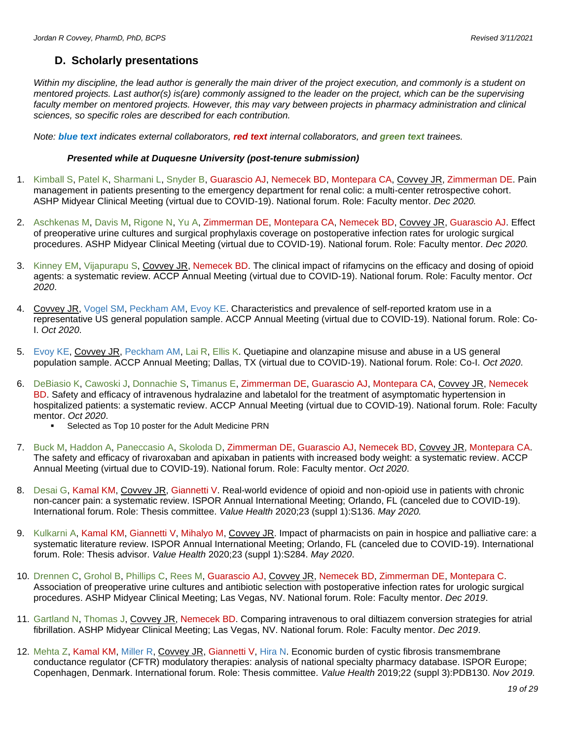### **D. Scholarly presentations**

*Within my discipline, the lead author is generally the main driver of the project execution, and commonly is a student on mentored projects. Last author(s) is(are) commonly assigned to the leader on the project, which can be the supervising*  faculty member on mentored projects. However, this may vary between projects in pharmacy administration and clinical *sciences, so specific roles are described for each contribution.*

*Note: blue text indicates external collaborators, red text internal collaborators, and green text trainees.*

#### *Presented while at Duquesne University (post-tenure submission)*

- 1. Kimball S, Patel K, Sharmani L, Snyder B, Guarascio AJ, Nemecek BD, Montepara CA, Covvey JR, Zimmerman DE. Pain management in patients presenting to the emergency department for renal colic: a multi-center retrospective cohort. ASHP Midyear Clinical Meeting (virtual due to COVID-19). National forum. Role: Faculty mentor. *Dec 2020.*
- 2. Aschkenas M, Davis M, Rigone N, Yu A, Zimmerman DE, Montepara CA, Nemecek BD, Covvey JR, Guarascio AJ. Effect of preoperative urine cultures and surgical prophylaxis coverage on postoperative infection rates for urologic surgical procedures. ASHP Midyear Clinical Meeting (virtual due to COVID-19). National forum. Role: Faculty mentor. *Dec 2020.*
- 3. Kinney EM, Vijapurapu S, Covvey JR, Nemecek BD. The clinical impact of rifamycins on the efficacy and dosing of opioid agents: a systematic review. ACCP Annual Meeting (virtual due to COVID-19). National forum. Role: Faculty mentor. *Oct 2020*.
- 4. Covvey JR, Vogel SM, Peckham AM, Evoy KE. Characteristics and prevalence of self-reported kratom use in a representative US general population sample. ACCP Annual Meeting (virtual due to COVID-19). National forum. Role: Co-I. *Oct 2020*.
- 5. Evoy KE, Covvey JR, Peckham AM, Lai R, Ellis K. Quetiapine and olanzapine misuse and abuse in a US general population sample. ACCP Annual Meeting; Dallas, TX (virtual due to COVID-19). National forum. Role: Co-I. *Oct 2020*.
- 6. DeBiasio K, Cawoski J, Donnachie S, Timanus E, Zimmerman DE, Guarascio AJ, Montepara CA, Covvey JR, Nemecek BD. Safety and efficacy of intravenous hydralazine and labetalol for the treatment of asymptomatic hypertension in hospitalized patients: a systematic review. ACCP Annual Meeting (virtual due to COVID-19). National forum. Role: Faculty mentor. *Oct 2020*.
	- Selected as Top 10 poster for the Adult Medicine PRN
- 7. Buck M, Haddon A, Paneccasio A, Skoloda D, Zimmerman DE, Guarascio AJ, Nemecek BD, Covvey JR, Montepara CA. The safety and efficacy of rivaroxaban and apixaban in patients with increased body weight: a systematic review. ACCP Annual Meeting (virtual due to COVID-19). National forum. Role: Faculty mentor. *Oct 2020*.
- 8. Desai G, Kamal KM, Covvey JR, Giannetti V. Real-world evidence of opioid and non-opioid use in patients with chronic non-cancer pain: a systematic review. ISPOR Annual International Meeting; Orlando, FL (canceled due to COVID-19). International forum. Role: Thesis committee. *Value Health* 2020;23 (suppl 1):S136. *May 2020.*
- 9. Kulkarni A, Kamal KM, Giannetti V, Mihalyo M, Covvey JR. Impact of pharmacists on pain in hospice and palliative care: a systematic literature review. ISPOR Annual International Meeting; Orlando, FL (canceled due to COVID-19). International forum. Role: Thesis advisor. *Value Health* 2020;23 (suppl 1):S284. *May 2020*.
- 10. Drennen C, Grohol B, Phillips C, Rees M, Guarascio AJ, Covvey JR, Nemecek BD, Zimmerman DE, Montepara C. Association of preoperative urine cultures and antibiotic selection with postoperative infection rates for urologic surgical procedures. ASHP Midyear Clinical Meeting; Las Vegas, NV. National forum. Role: Faculty mentor. *Dec 2019*.
- 11. Gartland N, Thomas J, Covvey JR, Nemecek BD. Comparing intravenous to oral diltiazem conversion strategies for atrial fibrillation. ASHP Midyear Clinical Meeting; Las Vegas, NV. National forum. Role: Faculty mentor. *Dec 2019*.
- 12. Mehta Z, Kamal KM, Miller R, Covvey JR, Giannetti V, Hira N. Economic burden of cystic fibrosis transmembrane conductance regulator (CFTR) modulatory therapies: analysis of national specialty pharmacy database. ISPOR Europe; Copenhagen, Denmark. International forum. Role: Thesis committee. *Value Health* 2019;22 (suppl 3):PDB130. *Nov 2019.*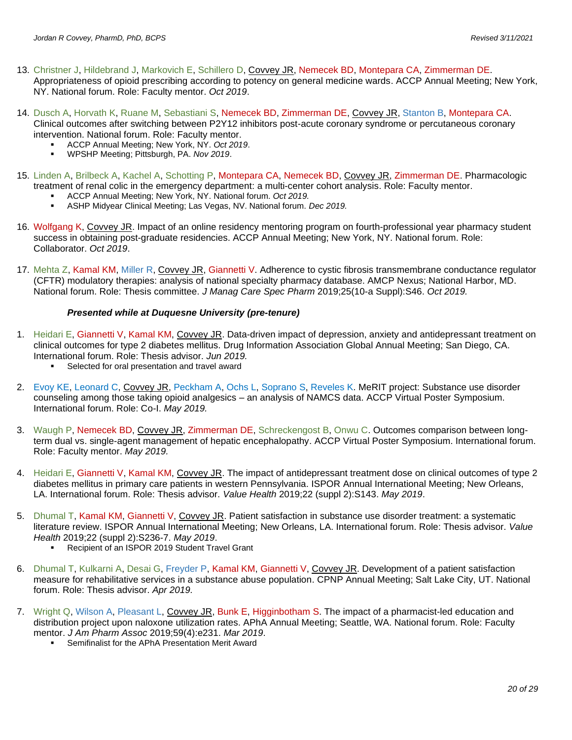- 13. Christner J, Hildebrand J, Markovich E, Schillero D, Covvey JR, Nemecek BD, Montepara CA, Zimmerman DE. Appropriateness of opioid prescribing according to potency on general medicine wards. ACCP Annual Meeting; New York, NY. National forum. Role: Faculty mentor. *Oct 2019*.
- 14. Dusch A, Horvath K, Ruane M, Sebastiani S, Nemecek BD, Zimmerman DE, Covvey JR, Stanton B, Montepara CA. Clinical outcomes after switching between P2Y12 inhibitors post-acute coronary syndrome or percutaneous coronary intervention. National forum. Role: Faculty mentor.
	- ACCP Annual Meeting; New York, NY. Oct 2019.
	- WPSHP Meeting; Pittsburgh, PA. *Nov 2019*.
- 15. Linden A, Brilbeck A, Kachel A, Schotting P, Montepara CA, Nemecek BD, Covvey JR, Zimmerman DE. Pharmacologic treatment of renal colic in the emergency department: a multi-center cohort analysis. Role: Faculty mentor.
	- ACCP Annual Meeting; New York, NY. National forum. *Oct 2019.*
	- ASHP Midyear Clinical Meeting; Las Vegas, NV. National forum. *Dec 2019.*
- 16. Wolfgang K, Covvey JR. Impact of an online residency mentoring program on fourth-professional year pharmacy student success in obtaining post-graduate residencies. ACCP Annual Meeting; New York, NY. National forum. Role: Collaborator. *Oct 2019*.
- 17. Mehta Z, Kamal KM, Miller R, Covvey JR, Giannetti V. Adherence to cystic fibrosis transmembrane conductance regulator (CFTR) modulatory therapies: analysis of national specialty pharmacy database. AMCP Nexus; National Harbor, MD. National forum. Role: Thesis committee. *J Manag Care Spec Pharm* 2019;25(10-a Suppl):S46. *Oct 2019.*

#### *Presented while at Duquesne University (pre-tenure)*

- 1. Heidari E, Giannetti V, Kamal KM, Covvey JR. Data-driven impact of depression, anxiety and antidepressant treatment on clinical outcomes for type 2 diabetes mellitus. Drug Information Association Global Annual Meeting; San Diego, CA. International forum. Role: Thesis advisor. *Jun 2019.*
	- Selected for oral presentation and travel award
- 2. Evoy KE, Leonard C, Covvey JR, Peckham A, Ochs L, Soprano S, Reveles K. MeRIT project: Substance use disorder counseling among those taking opioid analgesics – an analysis of NAMCS data. ACCP Virtual Poster Symposium. International forum. Role: Co-I. *May 2019.*
- 3. Waugh P, Nemecek BD, Covvey JR, Zimmerman DE, Schreckengost B, Onwu C. Outcomes comparison between longterm dual vs. single-agent management of hepatic encephalopathy. ACCP Virtual Poster Symposium. International forum. Role: Faculty mentor. *May 2019.*
- 4. Heidari E, Giannetti V, Kamal KM, Covvey JR. The impact of antidepressant treatment dose on clinical outcomes of type 2 diabetes mellitus in primary care patients in western Pennsylvania. ISPOR Annual International Meeting; New Orleans, LA. International forum. Role: Thesis advisor. *Value Health* 2019;22 (suppl 2):S143. *May 2019*.
- 5. Dhumal T, Kamal KM, Giannetti V, Covvey JR. Patient satisfaction in substance use disorder treatment: a systematic literature review. ISPOR Annual International Meeting; New Orleans, LA. International forum. Role: Thesis advisor. *Value Health* 2019;22 (suppl 2):S236-7. *May 2019*.
	- Recipient of an ISPOR 2019 Student Travel Grant
- 6. Dhumal T, Kulkarni A, Desai G, Freyder P, Kamal KM, Giannetti V, Covvey JR. Development of a patient satisfaction measure for rehabilitative services in a substance abuse population. CPNP Annual Meeting; Salt Lake City, UT. National forum. Role: Thesis advisor. *Apr 2019.*
- 7. Wright Q, Wilson A, Pleasant L, Covvey JR, Bunk E, Higginbotham S. The impact of a pharmacist-led education and distribution project upon naloxone utilization rates. APhA Annual Meeting; Seattle, WA. National forum. Role: Faculty mentor. *J Am Pharm Assoc* 2019;59(4):e231. *Mar 2019*.
	- Semifinalist for the APhA Presentation Merit Award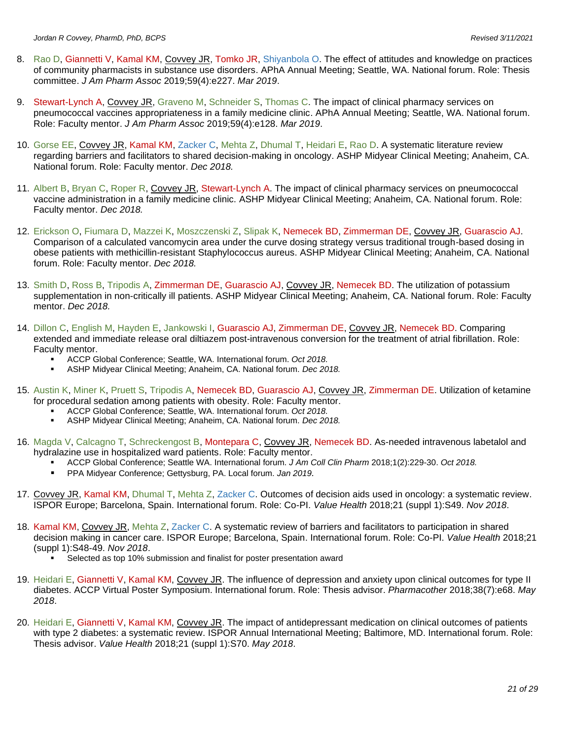- 8. Rao D, Giannetti V, Kamal KM, Covvey JR, Tomko JR, Shiyanbola O. The effect of attitudes and knowledge on practices of community pharmacists in substance use disorders. APhA Annual Meeting; Seattle, WA. National forum. Role: Thesis committee. *J Am Pharm Assoc* 2019;59(4):e227. *Mar 2019*.
- 9. Stewart-Lynch A, Covvey JR, Graveno M, Schneider S, Thomas C. The impact of clinical pharmacy services on pneumococcal vaccines appropriateness in a family medicine clinic. APhA Annual Meeting; Seattle, WA. National forum. Role: Faculty mentor. *J Am Pharm Assoc* 2019;59(4):e128. *Mar 2019*.
- 10. Gorse EE, Covvey JR, Kamal KM, Zacker C, Mehta Z, Dhumal T, Heidari E, Rao D. A systematic literature review regarding barriers and facilitators to shared decision-making in oncology. ASHP Midyear Clinical Meeting; Anaheim, CA. National forum. Role: Faculty mentor. *Dec 2018.*
- 11. Albert B, Bryan C, Roper R, Covvey JR, Stewart-Lynch A. The impact of clinical pharmacy services on pneumococcal vaccine administration in a family medicine clinic. ASHP Midyear Clinical Meeting; Anaheim, CA. National forum. Role: Faculty mentor. *Dec 2018.*
- 12. Erickson O, Fiumara D, Mazzei K, Moszczenski Z, Slipak K, Nemecek BD, Zimmerman DE, Covvey JR, Guarascio AJ. Comparison of a calculated vancomycin area under the curve dosing strategy versus traditional trough-based dosing in obese patients with methicillin-resistant Staphylococcus aureus. ASHP Midyear Clinical Meeting; Anaheim, CA. National forum. Role: Faculty mentor. *Dec 2018.*
- 13. Smith D, Ross B, Tripodis A, Zimmerman DE, Guarascio AJ, Covvey JR, Nemecek BD. The utilization of potassium supplementation in non-critically ill patients. ASHP Midyear Clinical Meeting; Anaheim, CA. National forum. Role: Faculty mentor. *Dec 2018.*
- 14. Dillon C, English M, Hayden E, Jankowski I, Guarascio AJ, Zimmerman DE, Covvey JR, Nemecek BD. Comparing extended and immediate release oral diltiazem post-intravenous conversion for the treatment of atrial fibrillation. Role: Faculty mentor.
	- ACCP Global Conference; Seattle, WA. International forum. *Oct 2018.*
	- ASHP Midyear Clinical Meeting; Anaheim, CA. National forum. *Dec 2018*.
- 15. Austin K, Miner K, Pruett S, Tripodis A, Nemecek BD, Guarascio AJ, Covvey JR, Zimmerman DE. Utilization of ketamine for procedural sedation among patients with obesity. Role: Faculty mentor.
	- ACCP Global Conference; Seattle, WA. International forum. *Oct 2018*.<br>■ ASHP Midvear Clinical Meeting: Anabeim. CA. National forum. *Dec 20*
	- ASHP Midyear Clinical Meeting; Anaheim, CA. National forum. *Dec 2018.*
- 16. Magda V, Calcagno T, Schreckengost B, Montepara C, Covvey JR, Nemecek BD. As-needed intravenous labetalol and hydralazine use in hospitalized ward patients. Role: Faculty mentor.
	- ACCP Global Conference; Seattle WA. International forum. *J Am Coll Clin Pharm* 2018;1(2):229-30. *Oct 2018.*
	- PPA Midyear Conference; Gettysburg, PA. Local forum. *Jan 2019.*
- 17. Covvey JR, Kamal KM, Dhumal T, Mehta Z, Zacker C. Outcomes of decision aids used in oncology: a systematic review. ISPOR Europe; Barcelona, Spain. International forum. Role: Co-PI. *Value Health* 2018;21 (suppl 1):S49. *Nov 2018*.
- 18. Kamal KM, Covvey JR, Mehta Z, Zacker C. A systematic review of barriers and facilitators to participation in shared decision making in cancer care. ISPOR Europe; Barcelona, Spain. International forum. Role: Co-PI. *Value Health* 2018;21 (suppl 1):S48-49. *Nov 2018*.
	- Selected as top 10% submission and finalist for poster presentation award
- 19. Heidari E, Giannetti V, Kamal KM, Covvey JR. The influence of depression and anxiety upon clinical outcomes for type II diabetes. ACCP Virtual Poster Symposium. International forum. Role: Thesis advisor. *Pharmacother* 2018;38(7):e68. *May 2018*.
- 20. Heidari E, Giannetti V, Kamal KM, Covvey JR. The impact of antidepressant medication on clinical outcomes of patients with type 2 diabetes: a systematic review. ISPOR Annual International Meeting; Baltimore, MD. International forum. Role: Thesis advisor. *Value Health* 2018;21 (suppl 1):S70. *May 2018*.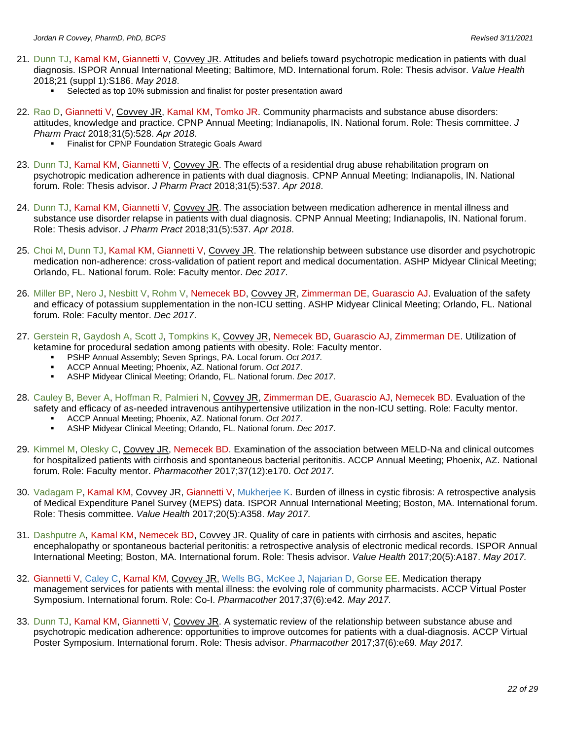- 21. Dunn TJ, Kamal KM, Giannetti V, Covvey JR. Attitudes and beliefs toward psychotropic medication in patients with dual diagnosis. ISPOR Annual International Meeting; Baltimore, MD. International forum. Role: Thesis advisor. *Value Health* 2018;21 (suppl 1):S186. *May 2018*.
	- Selected as top 10% submission and finalist for poster presentation award
- 22. Rao D, Giannetti V, Covvey JR, Kamal KM, Tomko JR. Community pharmacists and substance abuse disorders: attitudes, knowledge and practice. CPNP Annual Meeting; Indianapolis, IN. National forum. Role: Thesis committee. *J Pharm Pract* 2018;31(5):528. *Apr 2018*.
	- Finalist for CPNP Foundation Strategic Goals Award
- 23. Dunn TJ, Kamal KM, Giannetti V, Covvey JR. The effects of a residential drug abuse rehabilitation program on psychotropic medication adherence in patients with dual diagnosis. CPNP Annual Meeting; Indianapolis, IN. National forum. Role: Thesis advisor. *J Pharm Pract* 2018;31(5):537. *Apr 2018*.
- 24. Dunn TJ, Kamal KM, Giannetti V, Covvey JR. The association between medication adherence in mental illness and substance use disorder relapse in patients with dual diagnosis. CPNP Annual Meeting; Indianapolis, IN. National forum. Role: Thesis advisor. *J Pharm Pract* 2018;31(5):537. *Apr 2018*.
- 25. Choi M, Dunn TJ, Kamal KM, Giannetti V, Covvey JR. The relationship between substance use disorder and psychotropic medication non-adherence: cross-validation of patient report and medical documentation. ASHP Midyear Clinical Meeting; Orlando, FL. National forum. Role: Faculty mentor. *Dec 2017*.
- 26. Miller BP, Nero J, Nesbitt V, Rohm V, Nemecek BD, Covvey JR, Zimmerman DE, Guarascio AJ. Evaluation of the safety and efficacy of potassium supplementation in the non-ICU setting. ASHP Midyear Clinical Meeting; Orlando, FL. National forum. Role: Faculty mentor. *Dec 2017*.
- 27. Gerstein R, Gaydosh A, Scott J, Tompkins K, Covvey JR, Nemecek BD, Guarascio AJ, Zimmerman DE. Utilization of ketamine for procedural sedation among patients with obesity. Role: Faculty mentor.
	- PSHP Annual Assembly; Seven Springs, PA. Local forum. *Oct 2017.*
	- ACCP Annual Meeting; Phoenix, AZ. National forum. *Oct 2017*.
	- ASHP Midyear Clinical Meeting; Orlando, FL. National forum. *Dec 2017*.
- 28. Cauley B, Bever A, Hoffman R, Palmieri N, Covvey JR, Zimmerman DE, Guarascio AJ, Nemecek BD. Evaluation of the safety and efficacy of as-needed intravenous antihypertensive utilization in the non-ICU setting. Role: Faculty mentor.
	- ACCP Annual Meeting; Phoenix, AZ. National forum. *Oct 2017*.
	- ASHP Midyear Clinical Meeting; Orlando, FL. National forum. *Dec 2017*.
- 29. Kimmel M, Olesky C, Covvey JR, Nemecek BD. Examination of the association between MELD-Na and clinical outcomes for hospitalized patients with cirrhosis and spontaneous bacterial peritonitis. ACCP Annual Meeting; Phoenix, AZ. National forum. Role: Faculty mentor. *Pharmacother* 2017;37(12):e170. *Oct 2017*.
- 30. Vadagam P, Kamal KM, Covvey JR, Giannetti V, Mukherjee K. Burden of illness in cystic fibrosis: A retrospective analysis of Medical Expenditure Panel Survey (MEPS) data. ISPOR Annual International Meeting; Boston, MA. International forum. Role: Thesis committee. *Value Health* 2017;20(5):A358. *May 2017.*
- 31. Dashputre A, Kamal KM, Nemecek BD, Covvey JR. Quality of care in patients with cirrhosis and ascites, hepatic encephalopathy or spontaneous bacterial peritonitis: a retrospective analysis of electronic medical records. ISPOR Annual International Meeting; Boston, MA. International forum. Role: Thesis advisor. *Value Health* 2017;20(5):A187. *May 2017.*
- 32. Giannetti V, Caley C, Kamal KM, Covvey JR, Wells BG, McKee J, Najarian D, Gorse EE. Medication therapy management services for patients with mental illness: the evolving role of community pharmacists. ACCP Virtual Poster Symposium. International forum. Role: Co-I. *Pharmacother* 2017;37(6):e42. *May 2017.*
- 33. Dunn TJ, Kamal KM, Giannetti V, Covvey JR. A systematic review of the relationship between substance abuse and psychotropic medication adherence: opportunities to improve outcomes for patients with a dual-diagnosis. ACCP Virtual Poster Symposium. International forum. Role: Thesis advisor. *Pharmacother* 2017;37(6):e69. *May 2017.*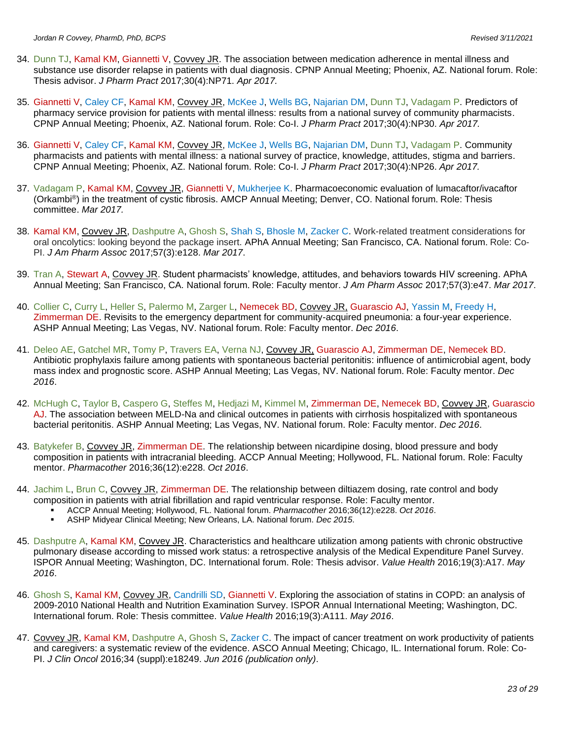- 34. Dunn TJ, Kamal KM, Giannetti V, Covvey JR. The association between medication adherence in mental illness and substance use disorder relapse in patients with dual diagnosis. CPNP Annual Meeting; Phoenix, AZ. National forum. Role: Thesis advisor. *J Pharm Pract* 2017;30(4):NP71. *Apr 2017.*
- 35. Giannetti V, Caley CF, Kamal KM, Covvey JR, McKee J, Wells BG, Najarian DM, Dunn TJ, Vadagam P. Predictors of pharmacy service provision for patients with mental illness: results from a national survey of community pharmacists. CPNP Annual Meeting; Phoenix, AZ. National forum. Role: Co-I. *J Pharm Pract* 2017;30(4):NP30. *Apr 2017.*
- 36. Giannetti V, Caley CF, Kamal KM, Covvey JR, McKee J, Wells BG, Najarian DM, Dunn TJ, Vadagam P. Community pharmacists and patients with mental illness: a national survey of practice, knowledge, attitudes, stigma and barriers. CPNP Annual Meeting; Phoenix, AZ. National forum. Role: Co-I. *J Pharm Pract* 2017;30(4):NP26. *Apr 2017.*
- 37. Vadagam P, Kamal KM, Covvey JR, Giannetti V, Mukherjee K. Pharmacoeconomic evaluation of lumacaftor/ivacaftor (Orkambi®) in the treatment of cystic fibrosis. AMCP Annual Meeting; Denver, CO. National forum. Role: Thesis committee. *Mar 2017.*
- 38. Kamal KM, Covvey JR, Dashputre A, Ghosh S, Shah S, Bhosle M, Zacker C. Work-related treatment considerations for oral oncolytics: looking beyond the package insert. APhA Annual Meeting; San Francisco, CA. National forum. Role: Co-PI. *J Am Pharm Assoc* 2017;57(3):e128. *Mar 2017*.
- 39. Tran A, Stewart A, Covvey JR. Student pharmacists' knowledge, attitudes, and behaviors towards HIV screening. APhA Annual Meeting; San Francisco, CA. National forum. Role: Faculty mentor. *J Am Pharm Assoc* 2017;57(3):e47. *Mar 2017*.
- 40. Collier C, Curry L, Heller S, Palermo M, Zarger L, Nemecek BD, Covvey JR, Guarascio AJ, Yassin M, Freedy H, Zimmerman DE. Revisits to the emergency department for community-acquired pneumonia: a four-year experience. ASHP Annual Meeting; Las Vegas, NV. National forum. Role: Faculty mentor. *Dec 2016*.
- 41. Deleo AE, Gatchel MR, Tomy P, Travers EA, Verna NJ, Covvey JR, Guarascio AJ, Zimmerman DE, Nemecek BD. Antibiotic prophylaxis failure among patients with spontaneous bacterial peritonitis: influence of antimicrobial agent, body mass index and prognostic score. ASHP Annual Meeting; Las Vegas, NV. National forum. Role: Faculty mentor. *Dec 2016*.
- 42. McHugh C, Taylor B, Caspero G, Steffes M, Hedjazi M, Kimmel M, Zimmerman DE, Nemecek BD, Covvey JR, Guarascio AJ. The association between MELD-Na and clinical outcomes in patients with cirrhosis hospitalized with spontaneous bacterial peritonitis. ASHP Annual Meeting; Las Vegas, NV. National forum. Role: Faculty mentor. *Dec 2016*.
- 43. Batykefer B, Covvey JR, Zimmerman DE. The relationship between nicardipine dosing, blood pressure and body composition in patients with intracranial bleeding. ACCP Annual Meeting; Hollywood, FL. National forum. Role: Faculty mentor. *Pharmacother* 2016;36(12):e228. *Oct 2016*.
- 44. Jachim L, Brun C, Covvey JR, Zimmerman DE. The relationship between diltiazem dosing, rate control and body composition in patients with atrial fibrillation and rapid ventricular response. Role: Faculty mentor.
	- ACCP Annual Meeting; Hollywood, FL. National forum. *Pharmacother* 2016;36(12):e228. *Oct 2016*.
		- ASHP Midyear Clinical Meeting; New Orleans, LA. National forum. *Dec 2015*.
- 45. Dashputre A, Kamal KM, Covvey JR. Characteristics and healthcare utilization among patients with chronic obstructive pulmonary disease according to missed work status: a retrospective analysis of the Medical Expenditure Panel Survey. ISPOR Annual Meeting; Washington, DC. International forum. Role: Thesis advisor. *Value Health* 2016;19(3):A17. *May 2016*.
- 46. Ghosh S, Kamal KM, Covvey JR, Candrilli SD, Giannetti V. Exploring the association of statins in COPD: an analysis of 2009-2010 National Health and Nutrition Examination Survey. ISPOR Annual International Meeting; Washington, DC. International forum. Role: Thesis committee. *Value Health* 2016;19(3):A111. *May 2016*.
- 47. Covvey JR, Kamal KM, Dashputre A, Ghosh S, Zacker C. The impact of cancer treatment on work productivity of patients and caregivers: a systematic review of the evidence. ASCO Annual Meeting; Chicago, IL. International forum. Role: Co-PI. *J Clin Oncol* 2016;34 (suppl):e18249. *Jun 2016 (publication only)*.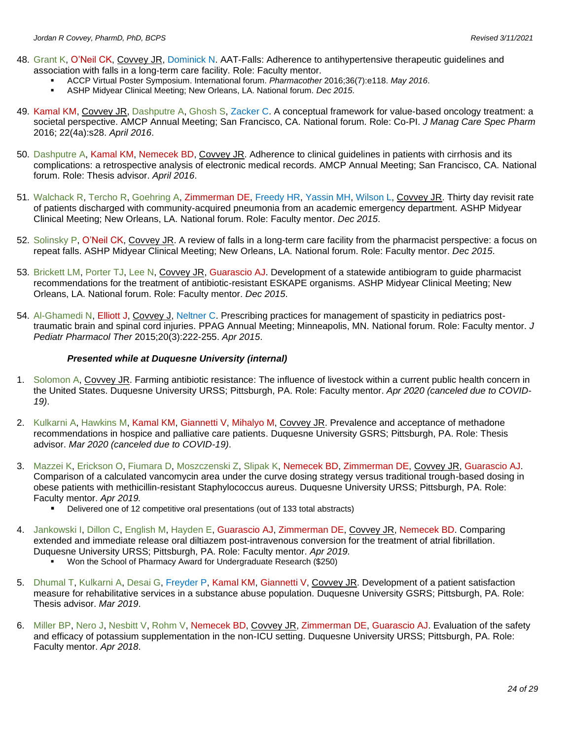- 48. Grant K, O'Neil CK, Covvey JR, Dominick N. AAT‐Falls: Adherence to antihypertensive therapeutic guidelines and association with falls in a long‐term care facility. Role: Faculty mentor.
	- ACCP Virtual Poster Symposium. International forum. *Pharmacother* 2016;36(7):e118. *May 2016*.
	- ASHP Midyear Clinical Meeting; New Orleans, LA. National forum. *Dec 2015*.
- 49. Kamal KM, Covvey JR, Dashputre A, Ghosh S, Zacker C. A conceptual framework for value-based oncology treatment: a societal perspective. AMCP Annual Meeting; San Francisco, CA. National forum. Role: Co-PI. *J Manag Care Spec Pharm* 2016; 22(4a):s28. *April 2016*.
- 50. Dashputre A, Kamal KM, Nemecek BD, Covvey JR. Adherence to clinical guidelines in patients with cirrhosis and its complications: a retrospective analysis of electronic medical records. AMCP Annual Meeting; San Francisco, CA. National forum. Role: Thesis advisor. *April 2016*.
- 51. Walchack R, Tercho R, Goehring A, Zimmerman DE, Freedy HR, Yassin MH, Wilson L, Covvey JR. Thirty day revisit rate of patients discharged with community-acquired pneumonia from an academic emergency department. ASHP Midyear Clinical Meeting; New Orleans, LA. National forum. Role: Faculty mentor. *Dec 2015*.
- 52. Solinsky P, O'Neil CK, Covvey JR. A review of falls in a long-term care facility from the pharmacist perspective: a focus on repeat falls. ASHP Midyear Clinical Meeting; New Orleans, LA. National forum. Role: Faculty mentor. *Dec 2015*.
- 53. Brickett LM, Porter TJ, Lee N, Covvey JR, Guarascio AJ. Development of a statewide antibiogram to guide pharmacist recommendations for the treatment of antibiotic-resistant ESKAPE organisms. ASHP Midyear Clinical Meeting; New Orleans, LA. National forum. Role: Faculty mentor. *Dec 2015*.
- 54. Al-Ghamedi N, Elliott J, Covvey J, Neltner C. Prescribing practices for management of spasticity in pediatrics posttraumatic brain and spinal cord injuries. PPAG Annual Meeting; Minneapolis, MN. National forum. Role: Faculty mentor. *J Pediatr Pharmacol Ther* 2015;20(3):222-255. *Apr 2015*.

#### *Presented while at Duquesne University (internal)*

- 1. Solomon A, Covvey JR. Farming antibiotic resistance: The influence of livestock within a current public health concern in the United States. Duquesne University URSS; Pittsburgh, PA. Role: Faculty mentor. *Apr 2020 (canceled due to COVID-19)*.
- 2. Kulkarni A, Hawkins M, Kamal KM, Giannetti V, Mihalyo M, Covvey JR. Prevalence and acceptance of methadone recommendations in hospice and palliative care patients. Duquesne University GSRS; Pittsburgh, PA. Role: Thesis advisor. *Mar 2020 (canceled due to COVID-19)*.
- 3. Mazzei K, Erickson O, Fiumara D, Moszczenski Z, Slipak K, Nemecek BD, Zimmerman DE, Covvey JR, Guarascio AJ. Comparison of a calculated vancomycin area under the curve dosing strategy versus traditional trough-based dosing in obese patients with methicillin-resistant Staphylococcus aureus. Duquesne University URSS; Pittsburgh, PA. Role: Faculty mentor. *Apr 2019.*
	- Delivered one of 12 competitive oral presentations (out of 133 total abstracts)
- 4. Jankowski I, Dillon C, English M, Hayden E, Guarascio AJ, Zimmerman DE, Covvey JR, Nemecek BD. Comparing extended and immediate release oral diltiazem post-intravenous conversion for the treatment of atrial fibrillation. Duquesne University URSS; Pittsburgh, PA. Role: Faculty mentor. *Apr 2019.*
	- Won the School of Pharmacy Award for Undergraduate Research (\$250)
- 5. Dhumal T, Kulkarni A, Desai G, Freyder P, Kamal KM, Giannetti V, Covvey JR. Development of a patient satisfaction measure for rehabilitative services in a substance abuse population. Duquesne University GSRS; Pittsburgh, PA. Role: Thesis advisor. *Mar 2019*.
- 6. Miller BP, Nero J, Nesbitt V, Rohm V, Nemecek BD, Covvey JR, Zimmerman DE, Guarascio AJ. Evaluation of the safety and efficacy of potassium supplementation in the non-ICU setting. Duquesne University URSS; Pittsburgh, PA. Role: Faculty mentor. *Apr 2018*.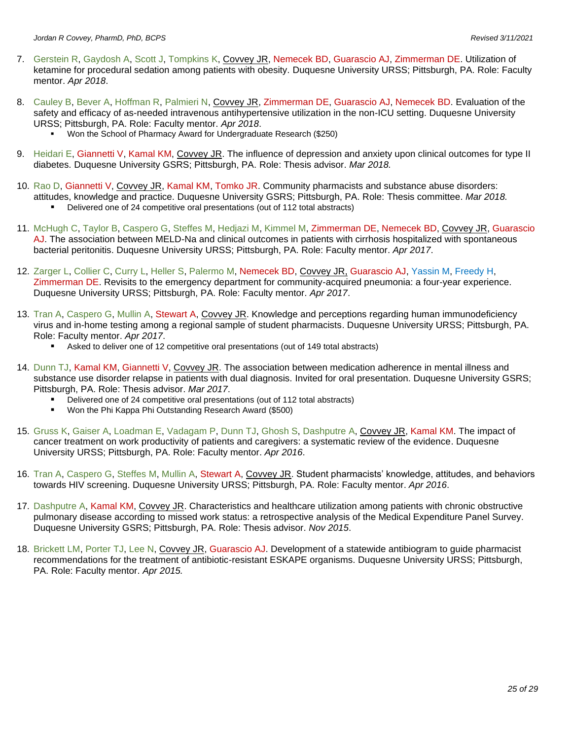- 7. Gerstein R, Gaydosh A, Scott J, Tompkins K, Covvey JR, Nemecek BD, Guarascio AJ, Zimmerman DE. Utilization of ketamine for procedural sedation among patients with obesity. Duquesne University URSS; Pittsburgh, PA. Role: Faculty mentor. *Apr 2018*.
- 8. Cauley B, Bever A, Hoffman R, Palmieri N, Covvey JR, Zimmerman DE, Guarascio AJ, Nemecek BD. Evaluation of the safety and efficacy of as-needed intravenous antihypertensive utilization in the non-ICU setting. Duquesne University URSS; Pittsburgh, PA. Role: Faculty mentor. *Apr 2018*.
	- Won the School of Pharmacy Award for Undergraduate Research (\$250)
- 9. Heidari E, Giannetti V, Kamal KM, Covvey JR. The influence of depression and anxiety upon clinical outcomes for type II diabetes. Duquesne University GSRS; Pittsburgh, PA. Role: Thesis advisor. *Mar 2018.*
- 10. Rao D, Giannetti V, Covvey JR, Kamal KM, Tomko JR. Community pharmacists and substance abuse disorders: attitudes, knowledge and practice. Duquesne University GSRS; Pittsburgh, PA. Role: Thesis committee. *Mar 2018.*
	- Delivered one of 24 competitive oral presentations (out of 112 total abstracts)
- 11. McHugh C, Taylor B, Caspero G, Steffes M, Hedjazi M, Kimmel M, Zimmerman DE, Nemecek BD, Covvey JR, Guarascio AJ. The association between MELD-Na and clinical outcomes in patients with cirrhosis hospitalized with spontaneous bacterial peritonitis. Duquesne University URSS; Pittsburgh, PA. Role: Faculty mentor. *Apr 2017*.
- 12. Zarger L, Collier C, Curry L, Heller S, Palermo M, Nemecek BD, Covvey JR, Guarascio AJ, Yassin M, Freedy H, Zimmerman DE. Revisits to the emergency department for community-acquired pneumonia: a four-year experience. Duquesne University URSS; Pittsburgh, PA. Role: Faculty mentor. *Apr 2017*.
- 13. Tran A, Caspero G, Mullin A, Stewart A, Covvey JR. Knowledge and perceptions regarding human immunodeficiency virus and in-home testing among a regional sample of student pharmacists. Duquesne University URSS; Pittsburgh, PA. Role: Faculty mentor. *Apr 2017*.
	- Asked to deliver one of 12 competitive oral presentations (out of 149 total abstracts)
- 14. Dunn TJ, Kamal KM, Giannetti V, Covvey JR. The association between medication adherence in mental illness and substance use disorder relapse in patients with dual diagnosis. Invited for oral presentation. Duquesne University GSRS; Pittsburgh, PA. Role: Thesis advisor. *Mar 2017*.
	- Delivered one of 24 competitive oral presentations (out of 112 total abstracts)
	- Won the Phi Kappa Phi Outstanding Research Award (\$500)
- 15. Gruss K, Gaiser A, Loadman E, Vadagam P, Dunn TJ, Ghosh S, Dashputre A, Covvey JR, Kamal KM. The impact of cancer treatment on work productivity of patients and caregivers: a systematic review of the evidence. Duquesne University URSS; Pittsburgh, PA. Role: Faculty mentor. *Apr 2016*.
- 16. Tran A, Caspero G, Steffes M, Mullin A, Stewart A, Covvey JR. Student pharmacists' knowledge, attitudes, and behaviors towards HIV screening. Duquesne University URSS; Pittsburgh, PA. Role: Faculty mentor. *Apr 2016*.
- 17. Dashputre A, Kamal KM, Covvey JR. Characteristics and healthcare utilization among patients with chronic obstructive pulmonary disease according to missed work status: a retrospective analysis of the Medical Expenditure Panel Survey. Duquesne University GSRS; Pittsburgh, PA. Role: Thesis advisor. *Nov 2015*.
- 18. Brickett LM, Porter TJ, Lee N, Covvey JR, Guarascio AJ. Development of a statewide antibiogram to guide pharmacist recommendations for the treatment of antibiotic-resistant ESKAPE organisms. Duquesne University URSS; Pittsburgh, PA. Role: Faculty mentor. *Apr 2015.*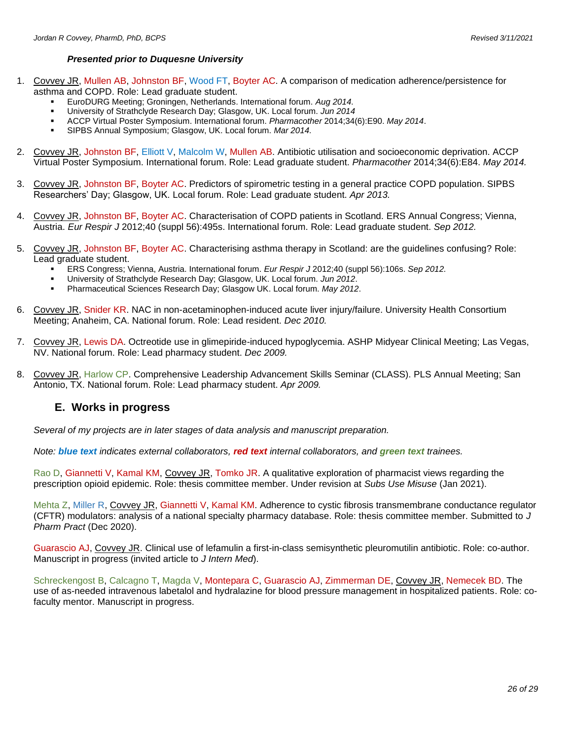#### *Presented prior to Duquesne University*

- 1. Covvey JR, Mullen AB, Johnston BF, Wood FT, Boyter AC. A comparison of medication adherence/persistence for asthma and COPD. Role: Lead graduate student.
	- EuroDURG Meeting; Groningen, Netherlands. International forum. *Aug 2014.*
	- University of Strathclyde Research Day; Glasgow, UK. Local forum. *Jun 2014*
	- ACCP Virtual Poster Symposium. International forum. *Pharmacother* 2014;34(6):E90. *May 2014*.
	- SIPBS Annual Symposium; Glasgow, UK. Local forum. Mar 2014.
- 2. Covvey JR, Johnston BF, Elliott V, Malcolm W, Mullen AB. Antibiotic utilisation and socioeconomic deprivation. ACCP Virtual Poster Symposium. International forum. Role: Lead graduate student. *Pharmacother* 2014;34(6):E84. *May 2014.*
- 3. Covvey JR, Johnston BF, Boyter AC. Predictors of spirometric testing in a general practice COPD population. SIPBS Researchers' Day; Glasgow, UK. Local forum. Role: Lead graduate student. *Apr 2013.*
- 4. Covvey JR, Johnston BF, Boyter AC. Characterisation of COPD patients in Scotland. ERS Annual Congress; Vienna, Austria. *Eur Respir J* 2012;40 (suppl 56):495s. International forum. Role: Lead graduate student. *Sep 2012.*
- 5. Covvey JR, Johnston BF, Boyter AC. Characterising asthma therapy in Scotland: are the guidelines confusing? Role: Lead graduate student.
	- ERS Congress; Vienna, Austria. International forum. *Eur Respir J* 2012;40 (suppl 56):106s. *Sep 2012.*
	- University of Strathclyde Research Day; Glasgow, UK. Local forum. *Jun 2012*.
	- Pharmaceutical Sciences Research Day; Glasgow UK. Local forum. May 2012.
- 6. Covvey JR, Snider KR. NAC in non-acetaminophen-induced acute liver injury/failure. University Health Consortium Meeting; Anaheim, CA. National forum. Role: Lead resident. *Dec 2010.*
- 7. Covvey JR, Lewis DA. Octreotide use in glimepiride-induced hypoglycemia. ASHP Midyear Clinical Meeting; Las Vegas, NV. National forum. Role: Lead pharmacy student. *Dec 2009.*
- 8. Covvey JR, Harlow CP. Comprehensive Leadership Advancement Skills Seminar (CLASS). PLS Annual Meeting; San Antonio, TX. National forum. Role: Lead pharmacy student. *Apr 2009.*

### **E. Works in progress**

*Several of my projects are in later stages of data analysis and manuscript preparation.*

*Note: blue text indicates external collaborators, red text internal collaborators, and green text trainees.*

Rao D, Giannetti V, Kamal KM, Covvey JR, Tomko JR. A qualitative exploration of pharmacist views regarding the prescription opioid epidemic. Role: thesis committee member. Under revision at *Subs Use Misuse* (Jan 2021).

Mehta Z, Miller R, Covvey JR, Giannetti V, Kamal KM. Adherence to cystic fibrosis transmembrane conductance regulator (CFTR) modulators: analysis of a national specialty pharmacy database. Role: thesis committee member. Submitted to *J Pharm Pract* (Dec 2020).

Guarascio AJ, Covvey JR. Clinical use of lefamulin a first-in-class semisynthetic pleuromutilin antibiotic. Role: co-author. Manuscript in progress (invited article to *J Intern Med*).

Schreckengost B, Calcagno T, Magda V, Montepara C, Guarascio AJ, Zimmerman DE, Covvey JR, Nemecek BD. The use of as-needed intravenous labetalol and hydralazine for blood pressure management in hospitalized patients. Role: cofaculty mentor. Manuscript in progress.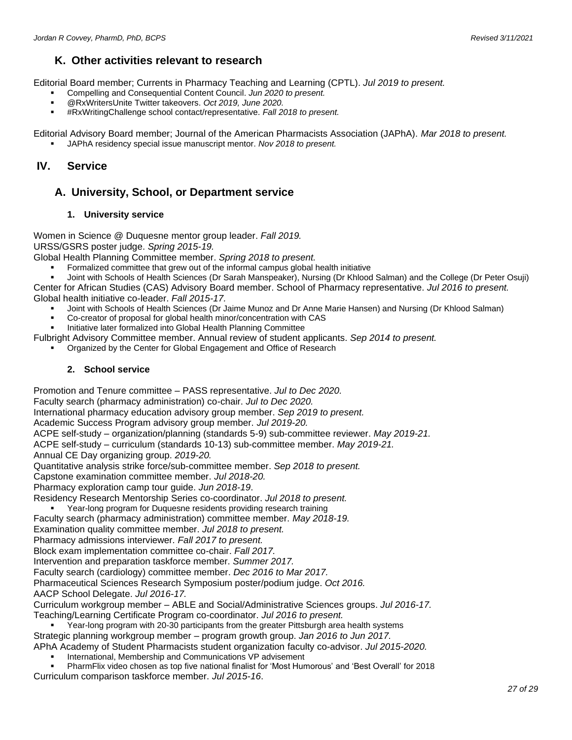### **K. Other activities relevant to research**

Editorial Board member; Currents in Pharmacy Teaching and Learning (CPTL). *Jul 2019 to present.*

- Compelling and Consequential Content Council. *Jun 2020 to present.*
- @RxWritersUnite Twitter takeovers. Oct 2019, June 2020.
- #RxWritingChallenge school contact/representative. *Fall 2018 to present.*

Editorial Advisory Board member; Journal of the American Pharmacists Association (JAPhA). *Mar 2018 to present.*

JAPhA residency special issue manuscript mentor. *Nov 2018 to present.* 

### **IV. Service**

### **A. University, School, or Department service**

#### **1. University service**

Women in Science @ Duquesne mentor group leader. *Fall 2019.* URSS/GSRS poster judge. *Spring 2015-19.*

Global Health Planning Committee member. *Spring 2018 to present.*

Formalized committee that grew out of the informal campus global health initiative

Joint with Schools of Health Sciences (Dr Sarah Manspeaker), Nursing (Dr Khlood Salman) and the College (Dr Peter Osuji) Center for African Studies (CAS) Advisory Board member. School of Pharmacy representative. *Jul 2016 to present.* Global health initiative co-leader. *Fall 2015-17.*

- Joint with Schools of Health Sciences (Dr Jaime Munoz and Dr Anne Marie Hansen) and Nursing (Dr Khlood Salman)
- Co-creator of proposal for global health minor/concentration with CAS
- Initiative later formalized into Global Health Planning Committee

Fulbright Advisory Committee member. Annual review of student applicants. *Sep 2014 to present.*

Organized by the Center for Global Engagement and Office of Research

#### **2. School service**

Promotion and Tenure committee – PASS representative. *Jul to Dec 2020.*

Faculty search (pharmacy administration) co-chair. *Jul to Dec 2020.*

International pharmacy education advisory group member. *Sep 2019 to present.*

Academic Success Program advisory group member. *Jul 2019-20.*

ACPE self-study – organization/planning (standards 5-9) sub-committee reviewer. *May 2019-21.*

ACPE self-study – curriculum (standards 10-13) sub-committee member. *May 2019-21.*

Annual CE Day organizing group. *2019-20.*

Quantitative analysis strike force/sub-committee member. *Sep 2018 to present.*

Capstone examination committee member. *Jul 2018-20.*

Pharmacy exploration camp tour guide. *Jun 2018-19*.

Residency Research Mentorship Series co-coordinator. *Jul 2018 to present.*

Year-long program for Duquesne residents providing research training

Faculty search (pharmacy administration) committee member. *May 2018-19.*

Examination quality committee member. *Jul 2018 to present.*

Pharmacy admissions interviewer. *Fall 2017 to present.*

Block exam implementation committee co-chair. *Fall 2017.*

Intervention and preparation taskforce member. *Summer 2017.*

Faculty search (cardiology) committee member. *Dec 2016 to Mar 2017.*

Pharmaceutical Sciences Research Symposium poster/podium judge. *Oct 2016.*

AACP School Delegate. *Jul 2016-17.*

Curriculum workgroup member – ABLE and Social/Administrative Sciences groups. *Jul 2016-17.* Teaching/Learning Certificate Program co-coordinator. *Jul 2016 to present.*

**• Year-long program with 20-30 participants from the greater Pittsburgh area health systems** Strategic planning workgroup member – program growth group. *Jan 2016 to Jun 2017.*

- APhA Academy of Student Pharmacists student organization faculty co-advisor. *Jul 2015-2020.*
	- International, Membership and Communications VP advisement

PharmFlix video chosen as top five national finalist for 'Most Humorous' and 'Best Overall' for 2018 Curriculum comparison taskforce member. *Jul 2015-16*.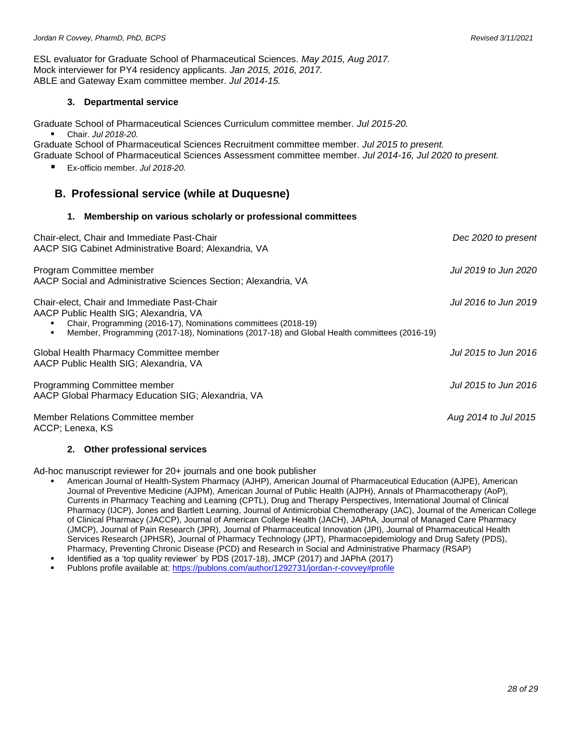ESL evaluator for Graduate School of Pharmaceutical Sciences. *May 2015, Aug 2017.* Mock interviewer for PY4 residency applicants. *Jan 2015, 2016, 2017.* ABLE and Gateway Exam committee member. *Jul 2014-15.*

#### **3. Departmental service**

Graduate School of Pharmaceutical Sciences Curriculum committee member. *Jul 2015-20.*

▪ Chair. *Jul 2018-20.*

Graduate School of Pharmaceutical Sciences Recruitment committee member. *Jul 2015 to present.* Graduate School of Pharmaceutical Sciences Assessment committee member. *Jul 2014-16, Jul 2020 to present.*

▪ Ex-officio member. *Jul 2018-20.*

### **B. Professional service (while at Duquesne)**

#### **1. Membership on various scholarly or professional committees**

| Chair-elect, Chair and Immediate Past-Chair<br>AACP SIG Cabinet Administrative Board; Alexandria, VA                                                                                                                                                   | Dec 2020 to present  |
|--------------------------------------------------------------------------------------------------------------------------------------------------------------------------------------------------------------------------------------------------------|----------------------|
| Program Committee member<br>AACP Social and Administrative Sciences Section; Alexandria, VA                                                                                                                                                            | Jul 2019 to Jun 2020 |
| Chair-elect, Chair and Immediate Past-Chair<br>AACP Public Health SIG; Alexandria, VA<br>Chair, Programming (2016-17), Nominations committees (2018-19)<br>Member, Programming (2017-18), Nominations (2017-18) and Global Health committees (2016-19) | Jul 2016 to Jun 2019 |
| Global Health Pharmacy Committee member<br>AACP Public Health SIG; Alexandria, VA                                                                                                                                                                      | Jul 2015 to Jun 2016 |
| Programming Committee member<br>AACP Global Pharmacy Education SIG; Alexandria, VA                                                                                                                                                                     | Jul 2015 to Jun 2016 |
| Member Relations Committee member<br>ACCP; Lenexa, KS                                                                                                                                                                                                  | Aug 2014 to Jul 2015 |

#### **2. Other professional services**

Ad-hoc manuscript reviewer for 20+ journals and one book publisher

- American Journal of Health-System Pharmacy (AJHP), American Journal of Pharmaceutical Education (AJPE), American Journal of Preventive Medicine (AJPM), American Journal of Public Health (AJPH), Annals of Pharmacotherapy (AoP), Currents in Pharmacy Teaching and Learning (CPTL), Drug and Therapy Perspectives, International Journal of Clinical Pharmacy (IJCP), Jones and Bartlett Learning, Journal of Antimicrobial Chemotherapy (JAC), Journal of the American College of Clinical Pharmacy (JACCP), Journal of American College Health (JACH), JAPhA, Journal of Managed Care Pharmacy (JMCP), Journal of Pain Research (JPR), Journal of Pharmaceutical Innovation (JPI), Journal of Pharmaceutical Health Services Research (JPHSR), Journal of Pharmacy Technology (JPT), Pharmacoepidemiology and Drug Safety (PDS), Pharmacy, Preventing Chronic Disease (PCD) and Research in Social and Administrative Pharmacy (RSAP)
- Identified as a 'top quality reviewer' by PDS (2017-18), JMCP (2017) and JAPhA (2017)
- Publons profile available at[: https://publons.com/author/1292731/jordan-r-covvey#profile](https://publons.com/author/1292731/jordan-r-covvey#profile)